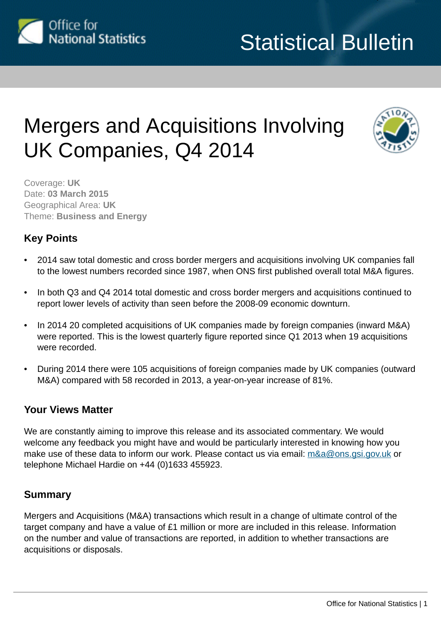

# Mergers and Acquisitions Involving UK Companies, Q4 2014



Coverage: **UK** Date: **03 March 2015** Geographical Area: **UK** Theme: **Business and Energy**

# **Key Points**

- 2014 saw total domestic and cross border mergers and acquisitions involving UK companies fall to the lowest numbers recorded since 1987, when ONS first published overall total M&A figures.
- In both Q3 and Q4 2014 total domestic and cross border mergers and acquisitions continued to report lower levels of activity than seen before the 2008-09 economic downturn.
- In 2014 20 completed acquisitions of UK companies made by foreign companies (inward M&A) were reported. This is the lowest quarterly figure reported since Q1 2013 when 19 acquisitions were recorded.
- During 2014 there were 105 acquisitions of foreign companies made by UK companies (outward M&A) compared with 58 recorded in 2013, a year-on-year increase of 81%.

## **Your Views Matter**

We are constantly aiming to improve this release and its associated commentary. We would welcome any feedback you might have and would be particularly interested in knowing how you make use of these data to inform our work. Please contact us via email: [m&a@ons.gsi.gov.uk](mailto:m&a@ons.gsi.gov.uk) or telephone Michael Hardie on +44 (0)1633 455923.

## **Summary**

Mergers and Acquisitions (M&A) transactions which result in a change of ultimate control of the target company and have a value of £1 million or more are included in this release. Information on the number and value of transactions are reported, in addition to whether transactions are acquisitions or disposals.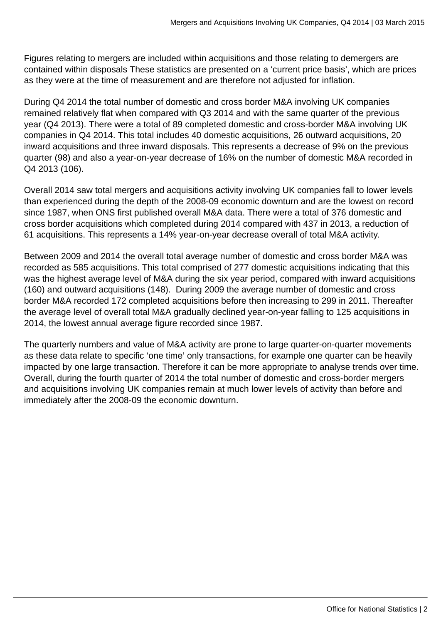Figures relating to mergers are included within acquisitions and those relating to demergers are contained within disposals These statistics are presented on a 'current price basis', which are prices as they were at the time of measurement and are therefore not adjusted for inflation.

During Q4 2014 the total number of domestic and cross border M&A involving UK companies remained relatively flat when compared with Q3 2014 and with the same quarter of the previous year (Q4 2013). There were a total of 89 completed domestic and cross-border M&A involving UK companies in Q4 2014. This total includes 40 domestic acquisitions, 26 outward acquisitions, 20 inward acquisitions and three inward disposals. This represents a decrease of 9% on the previous quarter (98) and also a year-on-year decrease of 16% on the number of domestic M&A recorded in Q4 2013 (106).

Overall 2014 saw total mergers and acquisitions activity involving UK companies fall to lower levels than experienced during the depth of the 2008-09 economic downturn and are the lowest on record since 1987, when ONS first published overall M&A data. There were a total of 376 domestic and cross border acquisitions which completed during 2014 compared with 437 in 2013, a reduction of 61 acquisitions. This represents a 14% year-on-year decrease overall of total M&A activity.

Between 2009 and 2014 the overall total average number of domestic and cross border M&A was recorded as 585 acquisitions. This total comprised of 277 domestic acquisitions indicating that this was the highest average level of M&A during the six year period, compared with inward acquisitions (160) and outward acquisitions (148). During 2009 the average number of domestic and cross border M&A recorded 172 completed acquisitions before then increasing to 299 in 2011. Thereafter the average level of overall total M&A gradually declined year-on-year falling to 125 acquisitions in 2014, the lowest annual average figure recorded since 1987.

The quarterly numbers and value of M&A activity are prone to large quarter-on-quarter movements as these data relate to specific 'one time' only transactions, for example one quarter can be heavily impacted by one large transaction. Therefore it can be more appropriate to analyse trends over time. Overall, during the fourth quarter of 2014 the total number of domestic and cross-border mergers and acquisitions involving UK companies remain at much lower levels of activity than before and immediately after the 2008-09 the economic downturn.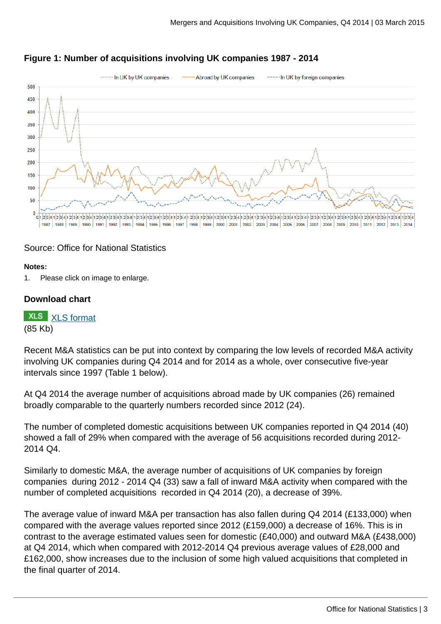

#### **Figure 1: Number of acquisitions involving UK companies 1987 - 2014**

#### Source: Office for National Statistics

#### **Notes:**

1. Please click on image to enlarge.

#### **Download chart**

**XLS** [XLS format](http://www.ons.gov.uk:80/ons/rel/international-transactions/mergers-and-acquisitions-involving-uk-companies/q4-2014/chd-m-a-fig-1.xls) (85 Kb)

Recent M&A statistics can be put into context by comparing the low levels of recorded M&A activity involving UK companies during Q4 2014 and for 2014 as a whole, over consecutive five-year intervals since 1997 (Table 1 below).

At Q4 2014 the average number of acquisitions abroad made by UK companies (26) remained broadly comparable to the quarterly numbers recorded since 2012 (24).

The number of completed domestic acquisitions between UK companies reported in Q4 2014 (40) showed a fall of 29% when compared with the average of 56 acquisitions recorded during 2012- 2014 Q4.

Similarly to domestic M&A, the average number of acquisitions of UK companies by foreign companies during 2012 - 2014 Q4 (33) saw a fall of inward M&A activity when compared with the number of completed acquisitions recorded in Q4 2014 (20), a decrease of 39%.

The average value of inward M&A per transaction has also fallen during Q4 2014 (£133,000) when compared with the average values reported since 2012 (£159,000) a decrease of 16%. This is in contrast to the average estimated values seen for domestic (£40,000) and outward M&A (£438,000) at Q4 2014, which when compared with 2012-2014 Q4 previous average values of £28,000 and £162,000, show increases due to the inclusion of some high valued acquisitions that completed in the final quarter of 2014.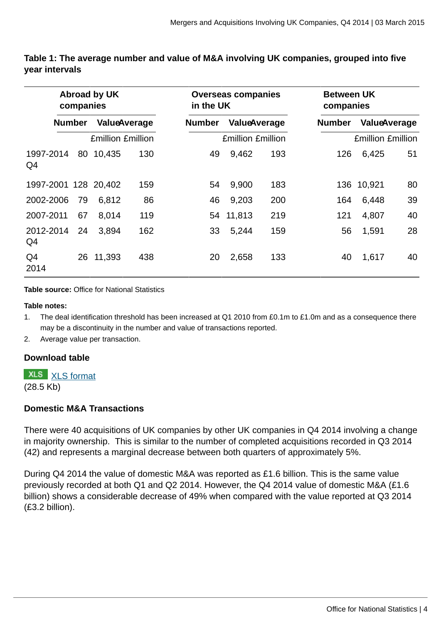| <b>Abroad by UK</b><br>companies |               |        |                          |               | <b>Overseas companies</b><br>in the UK |                     |               | <b>Between UK</b><br>companies |                     |  |
|----------------------------------|---------------|--------|--------------------------|---------------|----------------------------------------|---------------------|---------------|--------------------------------|---------------------|--|
|                                  | <b>Number</b> |        | ValueAverage             | <b>Number</b> |                                        | <b>ValueAverage</b> | <b>Number</b> |                                | <b>ValueAverage</b> |  |
|                                  |               |        | <b>Emillion Emillion</b> |               | <b>Emillion Emillion</b>               |                     |               | <b>Emillion Emillion</b>       |                     |  |
| 1997-2014<br>Q4                  | 80            | 10,435 | 130                      | 49            | 9,462                                  | 193                 | 126           | 6,425                          | 51                  |  |
| 1997-2001 128 20,402             |               |        | 159                      | 54            | 9,900                                  | 183                 |               | 136 10,921                     | 80                  |  |
| 2002-2006                        | 79            | 6,812  | 86                       | 46            | 9,203                                  | 200                 | 164           | 6,448                          | 39                  |  |
| 2007-2011                        | 67            | 8,014  | 119                      |               | 54 11,813                              | 219                 | 121           | 4,807                          | 40                  |  |
| 2012-2014<br>Q4                  | 24            | 3,894  | 162                      | 33            | 5,244                                  | 159                 | 56            | 1,591                          | 28                  |  |
| Q4<br>2014                       | 26            | 11,393 | 438                      | 20            | 2,658                                  | 133                 | 40            | 1,617                          | 40                  |  |

#### **Table 1: The average number and value of M&A involving UK companies, grouped into five year intervals**

**Table source:** Office for National Statistics

**Table notes:**

1. The deal identification threshold has been increased at Q1 2010 from £0.1m to £1.0m and as a consequence there may be a discontinuity in the number and value of transactions reported.

2. Average value per transaction.

#### **Download table**

**XLS** [XLS format](http://www.ons.gov.uk:80/ons/rel/international-transactions/mergers-and-acquisitions-involving-uk-companies/q4-2014/prt-m-a-table-1.xls)

(28.5 Kb)

#### **Domestic M&A Transactions**

There were 40 acquisitions of UK companies by other UK companies in Q4 2014 involving a change in majority ownership. This is similar to the number of completed acquisitions recorded in Q3 2014 (42) and represents a marginal decrease between both quarters of approximately 5%.

During Q4 2014 the value of domestic M&A was reported as £1.6 billion. This is the same value previously recorded at both Q1 and Q2 2014. However, the Q4 2014 value of domestic M&A (£1.6 billion) shows a considerable decrease of 49% when compared with the value reported at Q3 2014 (£3.2 billion).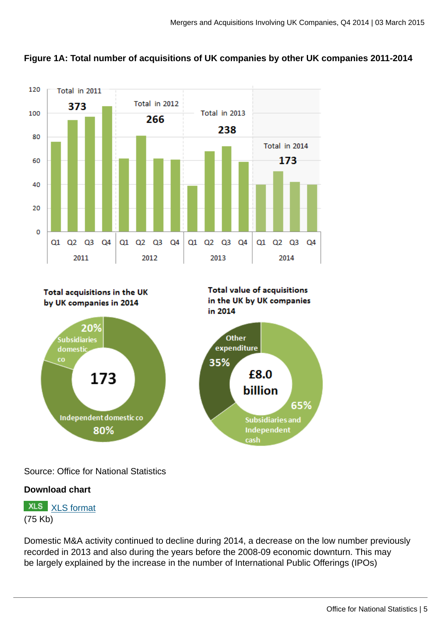



Total acquisitions in the UK by UK companies in 2014



**Total value of acquisitions** in the UK by UK companies in 2014



Source: Office for National Statistics

# **Download chart**

**XLS** [XLS format](http://www.ons.gov.uk:80/ons/rel/international-transactions/mergers-and-acquisitions-involving-uk-companies/q4-2014/chd-m-a-fig-1a.xls) (75 Kb)

Domestic M&A activity continued to decline during 2014, a decrease on the low number previously recorded in 2013 and also during the years before the 2008-09 economic downturn. This may be largely explained by the increase in the number of International Public Offerings (IPOs)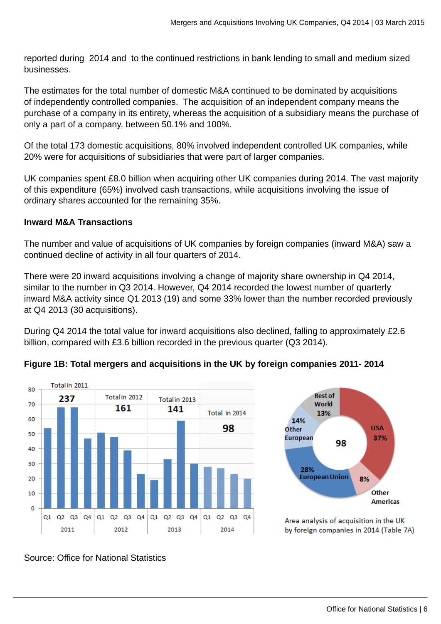reported during 2014 and to the continued restrictions in bank lending to small and medium sized businesses.

The estimates for the total number of domestic M&A continued to be dominated by acquisitions of independently controlled companies. The acquisition of an independent company means the purchase of a company in its entirety, whereas the acquisition of a subsidiary means the purchase of only a part of a company, between 50.1% and 100%.

Of the total 173 domestic acquisitions, 80% involved independent controlled UK companies, while 20% were for acquisitions of subsidiaries that were part of larger companies.

UK companies spent £8.0 billion when acquiring other UK companies during 2014. The vast majority of this expenditure (65%) involved cash transactions, while acquisitions involving the issue of ordinary shares accounted for the remaining 35%.

#### **Inward M&A Transactions**

The number and value of acquisitions of UK companies by foreign companies (inward M&A) saw a continued decline of activity in all four quarters of 2014.

There were 20 inward acquisitions involving a change of majority share ownership in Q4 2014, similar to the number in Q3 2014. However, Q4 2014 recorded the lowest number of quarterly inward M&A activity since Q1 2013 (19) and some 33% lower than the number recorded previously at Q4 2013 (30 acquisitions).

During Q4 2014 the total value for inward acquisitions also declined, falling to approximately £2.6 billion, compared with £3.6 billion recorded in the previous quarter (Q3 2014).





Area analysis of acquisition in the UK by foreign companies in 2014 (Table 7A)

#### **Figure 1B: Total mergers and acquisitions in the UK by foreign companies 2011- 2014**

Source: Office for National Statistics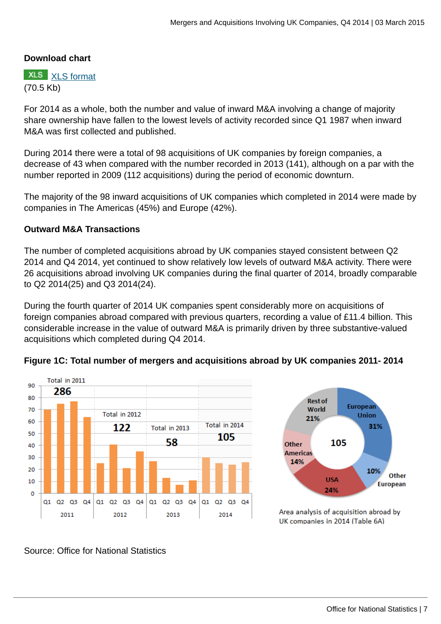#### **Download chart**

**XLS** [XLS format](http://www.ons.gov.uk:80/ons/rel/international-transactions/mergers-and-acquisitions-involving-uk-companies/q4-2014/chd-m-a-fig-1b.xls) (70.5 Kb)

For 2014 as a whole, both the number and value of inward M&A involving a change of majority share ownership have fallen to the lowest levels of activity recorded since Q1 1987 when inward M&A was first collected and published.

During 2014 there were a total of 98 acquisitions of UK companies by foreign companies, a decrease of 43 when compared with the number recorded in 2013 (141), although on a par with the number reported in 2009 (112 acquisitions) during the period of economic downturn.

The majority of the 98 inward acquisitions of UK companies which completed in 2014 were made by companies in The Americas (45%) and Europe (42%).

#### **Outward M&A Transactions**

The number of completed acquisitions abroad by UK companies stayed consistent between Q2 2014 and Q4 2014, yet continued to show relatively low levels of outward M&A activity. There were 26 acquisitions abroad involving UK companies during the final quarter of 2014, broadly comparable to Q2 2014(25) and Q3 2014(24).

During the fourth quarter of 2014 UK companies spent considerably more on acquisitions of foreign companies abroad compared with previous quarters, recording a value of £11.4 billion. This considerable increase in the value of outward M&A is primarily driven by three substantive-valued acquisitions which completed during Q4 2014.





Area analysis of acquisition abroad by UK companies in 2014 (Table 6A)

# **Figure 1C: Total number of mergers and acquisitions abroad by UK companies 2011- 2014**

Source: Office for National Statistics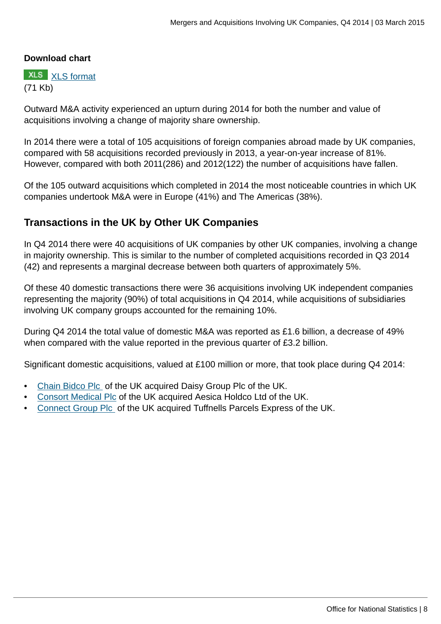#### **Download chart**

**XLS** [XLS format](http://www.ons.gov.uk:80/ons/rel/international-transactions/mergers-and-acquisitions-involving-uk-companies/q4-2014/chd-m-a-fig-1c.xls) (71 Kb)

Outward M&A activity experienced an upturn during 2014 for both the number and value of acquisitions involving a change of majority share ownership.

In 2014 there were a total of 105 acquisitions of foreign companies abroad made by UK companies, compared with 58 acquisitions recorded previously in 2013, a year-on-year increase of 81%. However, compared with both 2011(286) and 2012(122) the number of acquisitions have fallen.

Of the 105 outward acquisitions which completed in 2014 the most noticeable countries in which UK companies undertook M&A were in Europe (41%) and The Americas (38%).

## **Transactions in the UK by Other UK Companies**

In Q4 2014 there were 40 acquisitions of UK companies by other UK companies, involving a change in majority ownership. This is similar to the number of completed acquisitions recorded in Q3 2014 (42) and represents a marginal decrease between both quarters of approximately 5%.

Of these 40 domestic transactions there were 36 acquisitions involving UK independent companies representing the majority (90%) of total acquisitions in Q4 2014, while acquisitions of subsidiaries involving UK company groups accounted for the remaining 10%.

During Q4 2014 the total value of domestic M&A was reported as £1.6 billion, a decrease of 49% when compared with the value reported in the previous quarter of £3.2 billion.

Significant domestic acquisitions, valued at £100 million or more, that took place during Q4 2014:

- [Chain Bidco Plc](http://www.investegate.co.uk/daisy-group-plc--day-/rns/resignation-of-directors/201412220700134106A/) of the UK acquired Daisy Group Plc of the UK.
- [Consort Medical Plc](http://www.investegate.co.uk/consort-medical-plc--csrt-/rns/proposed-acquisition-of-aesica-holdco-limited/201409300700429401S/) of the UK acquired Aesica Holdco Ltd of the UK.
- [Connect Group Plc](http://www.investegate.co.uk/connect-group-plc--cnct-/rns/completion-of-acquisition/201412191239273192A/) of the UK acquired Tuffnells Parcels Express of the UK.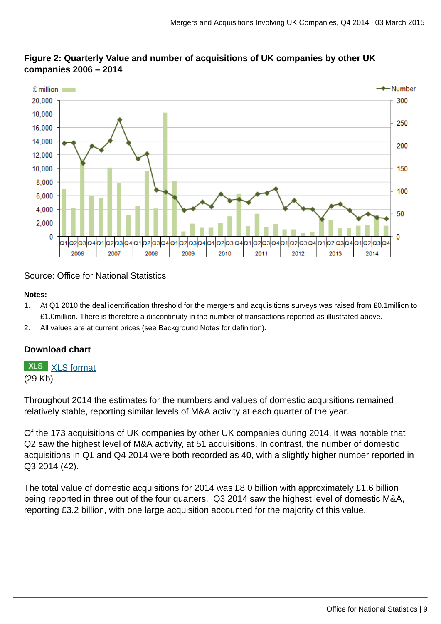

#### **Figure 2: Quarterly Value and number of acquisitions of UK companies by other UK companies 2006 – 2014**

#### Source: Office for National Statistics

#### **Notes:**

- 1. At Q1 2010 the deal identification threshold for the mergers and acquisitions surveys was raised from £0.1million to £1.0million. There is therefore a discontinuity in the number of transactions reported as illustrated above.
- 2. All values are at current prices (see Background Notes for definition).

#### **Download chart**

# **XLS** [XLS format](http://www.ons.gov.uk:80/ons/rel/international-transactions/mergers-and-acquisitions-involving-uk-companies/q4-2014/chd-m-a-fig-2.xls)

(29 Kb)

Throughout 2014 the estimates for the numbers and values of domestic acquisitions remained relatively stable, reporting similar levels of M&A activity at each quarter of the year.

Of the 173 acquisitions of UK companies by other UK companies during 2014, it was notable that Q2 saw the highest level of M&A activity, at 51 acquisitions. In contrast, the number of domestic acquisitions in Q1 and Q4 2014 were both recorded as 40, with a slightly higher number reported in Q3 2014 (42).

The total value of domestic acquisitions for 2014 was £8.0 billion with approximately £1.6 billion being reported in three out of the four quarters. Q3 2014 saw the highest level of domestic M&A, reporting £3.2 billion, with one large acquisition accounted for the majority of this value.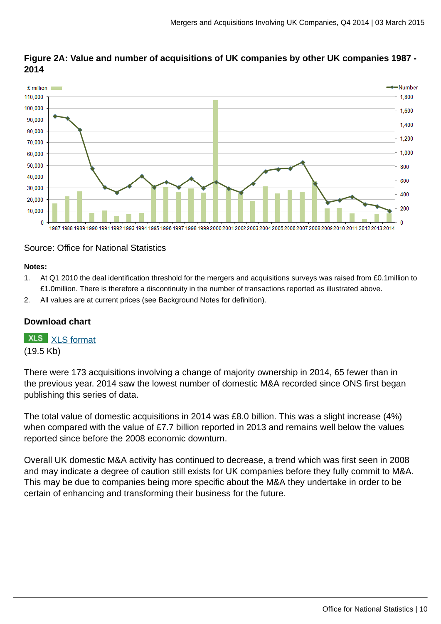

#### **Figure 2A: Value and number of acquisitions of UK companies by other UK companies 1987 - 2014**

#### Source: Office for National Statistics

#### **Notes:**

- 1. At Q1 2010 the deal identification threshold for the mergers and acquisitions surveys was raised from £0.1million to £1.0million. There is therefore a discontinuity in the number of transactions reported as illustrated above.
- 2. All values are at current prices (see Background Notes for definition).

#### **Download chart**

**XLS** [XLS format](http://www.ons.gov.uk:80/ons/rel/international-transactions/mergers-and-acquisitions-involving-uk-companies/q4-2014/chd-m-a-fig-2a.xls)

(19.5 Kb)

There were 173 acquisitions involving a change of majority ownership in 2014, 65 fewer than in the previous year. 2014 saw the lowest number of domestic M&A recorded since ONS first began publishing this series of data.

The total value of domestic acquisitions in 2014 was £8.0 billion. This was a slight increase (4%) when compared with the value of £7.7 billion reported in 2013 and remains well below the values reported since before the 2008 economic downturn.

Overall UK domestic M&A activity has continued to decrease, a trend which was first seen in 2008 and may indicate a degree of caution still exists for UK companies before they fully commit to M&A. This may be due to companies being more specific about the M&A they undertake in order to be certain of enhancing and transforming their business for the future.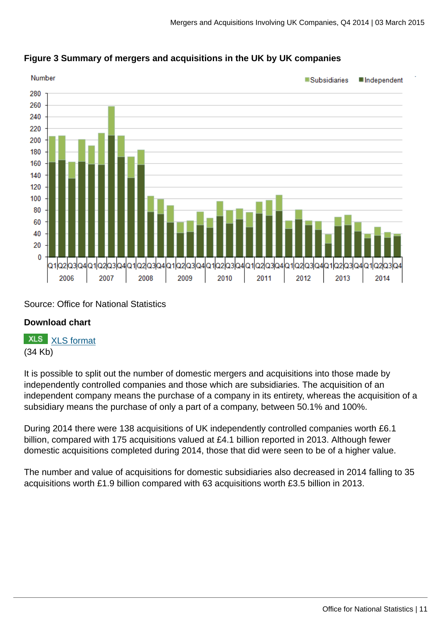

### **Figure 3 Summary of mergers and acquisitions in the UK by UK companies**

Source: Office for National Statistics

#### **Download chart**

**XLS** [XLS format](http://www.ons.gov.uk:80/ons/rel/international-transactions/mergers-and-acquisitions-involving-uk-companies/q4-2014/chd-m-a-fig-3.xls) (34 Kb)

It is possible to split out the number of domestic mergers and acquisitions into those made by independently controlled companies and those which are subsidiaries. The acquisition of an independent company means the purchase of a company in its entirety, whereas the acquisition of a subsidiary means the purchase of only a part of a company, between 50.1% and 100%.

During 2014 there were 138 acquisitions of UK independently controlled companies worth £6.1 billion, compared with 175 acquisitions valued at £4.1 billion reported in 2013. Although fewer domestic acquisitions completed during 2014, those that did were seen to be of a higher value.

The number and value of acquisitions for domestic subsidiaries also decreased in 2014 falling to 35 acquisitions worth £1.9 billion compared with 63 acquisitions worth £3.5 billion in 2013.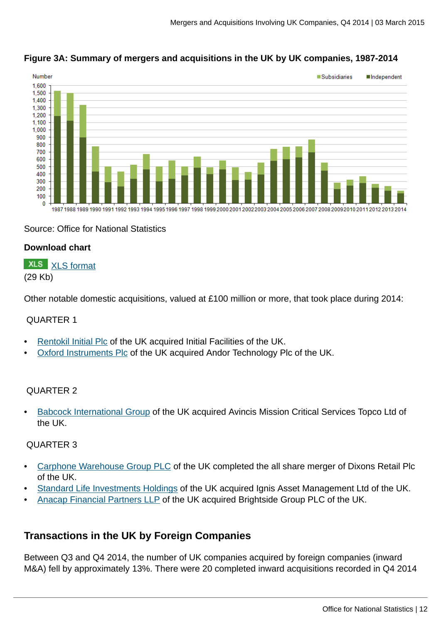

## **Figure 3A: Summary of mergers and acquisitions in the UK by UK companies, 1987-2014**

#### Source: Office for National Statistics

#### **Download chart**

#### **XLS** [XLS format](http://www.ons.gov.uk:80/ons/rel/international-transactions/mergers-and-acquisitions-involving-uk-companies/q4-2014/chd-m-a-fig-3a.xls) (29 Kb)

Other notable domestic acquisitions, valued at £100 million or more, that took place during 2014:

#### QUARTER 1

- [Rentokil Initial Plc](http://www.theconstructionindex.co.uk/news/view/interserve-completes-initial-facilities-takeover) of the UK acquired Initial Facilities of the UK.
- [Oxford Instruments Plc](http://www.investegate.co.uk/oxford-instruments--oxig-/rns/offer-declared-wholly-unconditional/201401220759012049Y/) of the UK acquired Andor Technology Plc of the UK.

#### QUARTER 2

• [Babcock International Group](http://www.avincisgroup.com/news-landing.aspx?code=160&name=COMPLETION+OF+THE+ACQUISITION+OF+AVINCIS) of the UK acquired Avincis Mission Critical Services Topco Ltd of the UK.

#### QUARTER 3

- [Carphone Warehouse Group PLC](http://www.investegate.co.uk/dixons-carphone-plc--cpw-/rns/completion-of-all-share-merger/201408070700144767O/) of the UK completed the all share merger of Dixons Retail Plc of the UK.
- [Standard Life Investments Holdings](http://www.ignisasset.com/corporate/press-centre/releases/standard-life-investments-completes-acquisition.aspx) of the UK acquired Ignis Asset Management Ltd of the UK.
- [Anacap Financial Partners LLP](http://www.privateequitywire.co.uk/2014/07/25/207911/anacap-completes-acquisition-brightside-group) of the UK acquired Brightside Group PLC of the UK.

# **Transactions in the UK by Foreign Companies**

Between Q3 and Q4 2014, the number of UK companies acquired by foreign companies (inward M&A) fell by approximately 13%. There were 20 completed inward acquisitions recorded in Q4 2014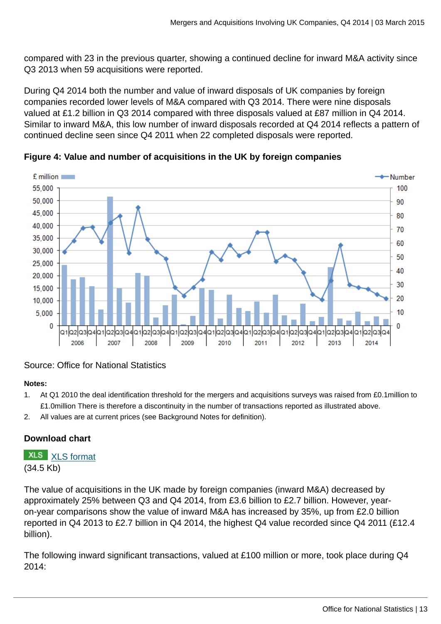compared with 23 in the previous quarter, showing a continued decline for inward M&A activity since Q3 2013 when 59 acquisitions were reported.

During Q4 2014 both the number and value of inward disposals of UK companies by foreign companies recorded lower levels of M&A compared with Q3 2014. There were nine disposals valued at £1.2 billion in Q3 2014 compared with three disposals valued at £87 million in Q4 2014. Similar to inward M&A, this low number of inward disposals recorded at Q4 2014 reflects a pattern of continued decline seen since Q4 2011 when 22 completed disposals were reported.





#### Source: Office for National Statistics

#### **Notes:**

- 1. At Q1 2010 the deal identification threshold for the mergers and acquisitions surveys was raised from £0.1million to £1.0million There is therefore a discontinuity in the number of transactions reported as illustrated above.
- 2. All values are at current prices (see Background Notes for definition).

#### **Download chart**

**XLS** [XLS format](http://www.ons.gov.uk:80/ons/rel/international-transactions/mergers-and-acquisitions-involving-uk-companies/q4-2014/chd-m-a-fig-4.xls) (34.5 Kb)

The value of acquisitions in the UK made by foreign companies (inward M&A) decreased by approximately 25% between Q3 and Q4 2014, from £3.6 billion to £2.7 billion. However, yearon-year comparisons show the value of inward M&A has increased by 35%, up from £2.0 billion reported in Q4 2013 to £2.7 billion in Q4 2014, the highest Q4 value recorded since Q4 2011 (£12.4 billion).

The following inward significant transactions, valued at £100 million or more, took place during Q4 2014: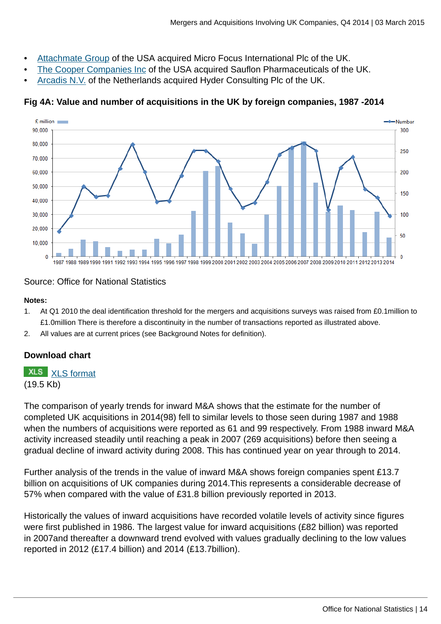- [Attachmate Group](http://www.microfocus.com/about/press/pressreleases/2014/pr15092014.aspx) of the USA acquired Micro Focus International Plc of the UK.
- [The Cooper Companies Inc](http://www.sauflon.co.uk/news/sauflon-acquisition-agreement) of the USA acquired Sauflon Pharmaceuticals of the UK.
- [Arcadis N.V.](http://www.morningstar.co.uk/uk/news/AN_1406795273139441700/hyder-consulting-agrees-to-be-acquired-by-arcadis-at-39-premium.aspx) of the Netherlands acquired Hyder Consulting Plc of the UK.

#### **Fig 4A: Value and number of acquisitions in the UK by foreign companies, 1987 -2014**



#### Source: Office for National Statistics

#### **Notes:**

- 1. At Q1 2010 the deal identification threshold for the mergers and acquisitions surveys was raised from £0.1million to £1.0million There is therefore a discontinuity in the number of transactions reported as illustrated above.
- 2. All values are at current prices (see Background Notes for definition).

#### **Download chart**

**XLS** [XLS format](http://www.ons.gov.uk:80/ons/rel/international-transactions/mergers-and-acquisitions-involving-uk-companies/q4-2014/chd-m-a-fig-4a.xls) (19.5 Kb)

The comparison of yearly trends for inward M&A shows that the estimate for the number of completed UK acquisitions in 2014(98) fell to similar levels to those seen during 1987 and 1988 when the numbers of acquisitions were reported as 61 and 99 respectively. From 1988 inward M&A activity increased steadily until reaching a peak in 2007 (269 acquisitions) before then seeing a gradual decline of inward activity during 2008. This has continued year on year through to 2014.

Further analysis of the trends in the value of inward M&A shows foreign companies spent £13.7 billion on acquisitions of UK companies during 2014.This represents a considerable decrease of 57% when compared with the value of £31.8 billion previously reported in 2013.

Historically the values of inward acquisitions have recorded volatile levels of activity since figures were first published in 1986. The largest value for inward acquisitions (£82 billion) was reported in 2007and thereafter a downward trend evolved with values gradually declining to the low values reported in 2012 (£17.4 billion) and 2014 (£13.7billion).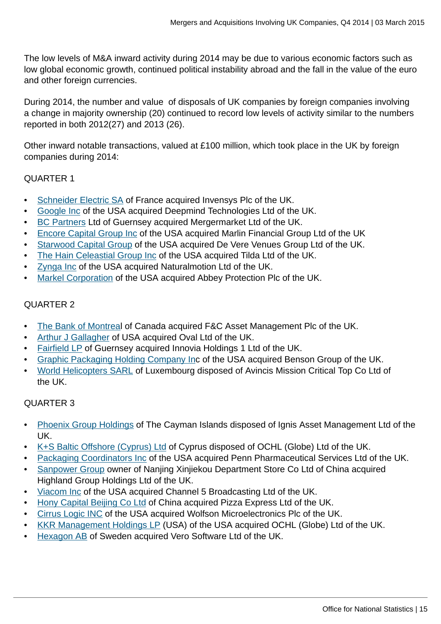The low levels of M&A inward activity during 2014 may be due to various economic factors such as low global economic growth, continued political instability abroad and the fall in the value of the euro and other foreign currencies.

During 2014, the number and value of disposals of UK companies by foreign companies involving a change in majority ownership (20) continued to record low levels of activity similar to the numbers reported in both 2012(27) and 2013 (26).

Other inward notable transactions, valued at £100 million, which took place in the UK by foreign companies during 2014:

#### QUARTER 1

- [Schneider Electric SA](http://iom.invensys.com/uk/Pages/IOM_NewsDetail.aspx?NewsID=639) of France acquired Invensys Plc of the UK.
- [Google Inc](http://www.independent.co.uk/life-style/gadgets-and-tech/deepmind-google-buys-uk-artificial-intelligence-startup-for-242m-9087109.html) of the USA acquired Deepmind Technologies Ltd of the UK.
- [BC Partners](http://www.bcpartners.com/news/2013/29-11-13.aspx) Ltd of Guernsey acquired Mergermarket Ltd of the UK.
- [Encore Capital Group Inc](ttp://www.cabotcm.com/media/2014/02/10/cabot-credit-management-acquires-marlin-financial-group) of the USA acquired Marlin Financial Group Ltd of the UK
- [Starwood Capital Group](http://www.bighospitality.co.uk/Business/Starwood-Capital-buys-De-Vere-Venues) of the USA acquired De Vere Venues Group Ltd of the UK.
- [The Hain Celeastial Group Inc](http://ir.hain-celestial.com/phoenix.zhtml?c=87078&p=irol-newsArticle&ID=1890008&highlight) of the USA acquired Tilda Ltd of the UK.
- [Zynga Inc](http://techcrunch.com/2014/01/30/zynga-naturalmotion/) of the USA acquired Naturalmotion Ltd of the UK.
- [Markel Corporation](http://www.investegate.co.uk/abbey-protection-plc--abb-/rns/scheme-of-arrangement-effective/201401171423479745X/) of the USA acquired Abbey Protection Plc of the UK.

#### QUARTER 2

- [The Bank of Montrea](http://citywire.co.uk/new-model-adviser/bank-of-montreal-seals-the-deal-for-fandc-takeover/a750082)l of Canada acquired F&C Asset Management Plc of the UK.
- [Arthur J Gallagher](http://www.gallaghereb.com/News/Pages/Arthur%20J.%20Gallagher%20acquires%20The%20Oval%20Group.aspx) of USA acquired Oval Ltd of the UK.
- [Fairfield LP](http://www.printweek.com/print-week/news/1143739/arle-capital-acquires-innovia-eur498-million-deal) of Guernsey acquired Innovia Holdings 1 Ltd of the UK.
- [Graphic Packaging Holding Company Inc](http://www.bensongroup.co.uk/graphic-packaging-completes-acquisition-of-benson-group/) of the USA acquired Benson Group of the UK.
- [World Helicopters SARL](http://www.avincisgroup.com/news-landing.aspx?code=160&name=COMPLETION+OF+THE+ACQUISITION+OF+AVINCIS) of Luxembourg disposed of Avincis Mission Critical Top Co Ltd of the UK.

#### QUARTER 3

- [Phoenix Group Holdings](http://www.thephoenixgroup.com/~/media/Files/P/Phoenix-Group-V2/Attachments/pdf/26032014%20-%20Divestment%20of%20Ignis%20Asset%20Management.pdf) of The Cayman Islands disposed of Ignis Asset Management Ltd of the UK.
- [K+S Baltic Offshore \(Cyprus\) Ltd](http://ir.kkr.com/kkr_ir/kkr_releasedetail.cfm?ReleaseID=858750) of Cyprus disposed of OCHL (Globe) Ltd of the UK.
- [Packaging Coordinators Inc](http://pciservices.com/news/pci-completes-purchase-of-penn-pharma) of the USA acquired Penn Pharmaceutical Services Ltd of the UK.
- [Sanpower Group](http://press.houseoffraser.co.uk/downloads/press/word/Acquisition_of_House_of_Fraser_by_Nanjing_Cenbest_FINAL.pdf) owner of Nanjing Xinjiekou Department Store Co Ltd of China acquired Highland Group Holdings Ltd of the UK.
- [Viacom Inc](http://news.viacom.com/press-release/viacom-closes-acquisition-channel-5) of the USA acquired Channel 5 Broadcasting Ltd of the UK.
- [Hony Capital Beijing Co Ltd](http://www.cinven.co.uk/mediacentre/pressreleases.aspx?mediaid=507) of China acquired Pizza Express Ltd of the UK.
- [Cirrus Logic INC](http://www.bbc.co.uk/news/uk-scotland-scotland-business-28879198) of the USA acquired Wolfson Microelectronics Plc of the UK.
- [KKR Management Holdings LP](http://ir.kkr.com/kkr_ir/kkr_releasedetail.cfm?ReleaseID=858750) (USA) of the USA acquired OCHL (Globe) Ltd of the UK.
- [Hexagon AB](http://www.verosoftware.com/news/articles/Hexagon-Acquires-Vero-Software) of Sweden acquired Vero Software Ltd of the UK.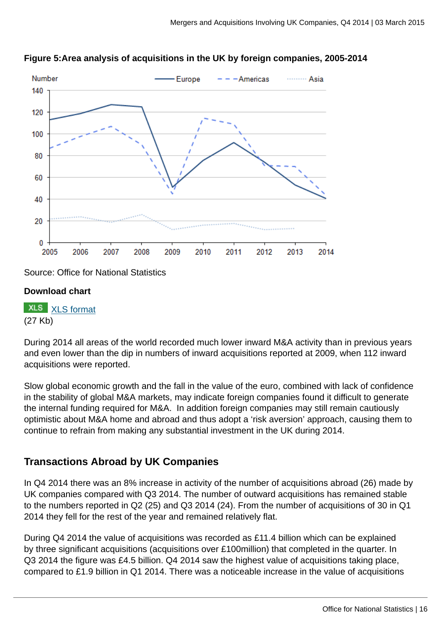



Source: Office for National Statistics

#### **Download chart**

**XLS** [XLS format](http://www.ons.gov.uk:80/ons/rel/international-transactions/mergers-and-acquisitions-involving-uk-companies/q4-2014/chd-m-a-fig-5.xls) (27 Kb)

During 2014 all areas of the world recorded much lower inward M&A activity than in previous years and even lower than the dip in numbers of inward acquisitions reported at 2009, when 112 inward acquisitions were reported.

Slow global economic growth and the fall in the value of the euro, combined with lack of confidence in the stability of global M&A markets, may indicate foreign companies found it difficult to generate the internal funding required for M&A. In addition foreign companies may still remain cautiously optimistic about M&A home and abroad and thus adopt a 'risk aversion' approach, causing them to continue to refrain from making any substantial investment in the UK during 2014.

# **Transactions Abroad by UK Companies**

In Q4 2014 there was an 8% increase in activity of the number of acquisitions abroad (26) made by UK companies compared with Q3 2014. The number of outward acquisitions has remained stable to the numbers reported in Q2 (25) and Q3 2014 (24). From the number of acquisitions of 30 in Q1 2014 they fell for the rest of the year and remained relatively flat.

During Q4 2014 the value of acquisitions was recorded as £11.4 billion which can be explained by three significant acquisitions (acquisitions over £100million) that completed in the quarter. In Q3 2014 the figure was £4.5 billion. Q4 2014 saw the highest value of acquisitions taking place, compared to £1.9 billion in Q1 2014. There was a noticeable increase in the value of acquisitions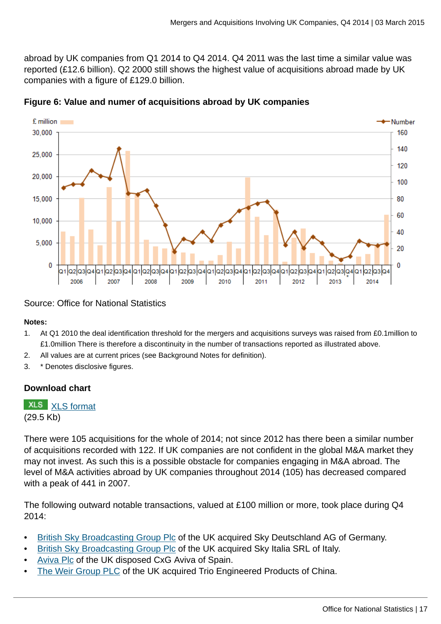abroad by UK companies from Q1 2014 to Q4 2014. Q4 2011 was the last time a similar value was reported (£12.6 billion). Q2 2000 still shows the highest value of acquisitions abroad made by UK companies with a figure of £129.0 billion.



**Figure 6: Value and numer of acquisitions abroad by UK companies**

#### Source: Office for National Statistics

#### **Notes:**

- 1. At Q1 2010 the deal identification threshold for the mergers and acquisitions surveys was raised from £0.1million to £1.0million There is therefore a discontinuity in the number of transactions reported as illustrated above.
- 2. All values are at current prices (see Background Notes for definition).
- 3. \* Denotes disclosive figures.

#### **Download chart**

# **XLS** [XLS format](http://www.ons.gov.uk:80/ons/rel/international-transactions/mergers-and-acquisitions-involving-uk-companies/q4-2014/chd-m-a-fig-6.xls)

(29.5 Kb)

There were 105 acquisitions for the whole of 2014; not since 2012 has there been a similar number of acquisitions recorded with 122. If UK companies are not confident in the global M&A market they may not invest. As such this is a possible obstacle for companies engaging in M&A abroad. The level of M&A activities abroad by UK companies throughout 2014 (105) has decreased compared with a peak of 441 in 2007.

The following outward notable transactions, valued at £100 million or more, took place during Q4 2014:

- [British Sky Broadcasting Group Plc](http://www.morningstar.co.uk/uk/news/AN_1410501001419669300/eu-approves-bskyb-acquisition-of-sky-deutschland-sky-italia.aspx) of the UK acquired Sky Deutschland AG of Germany.
- [British Sky Broadcasting Group Plc](http://www.morningstar.co.uk/uk/news/AN_1406277776193333100/update-bskyb-agrees-to-buy-sky-italia-and-sky-deutschland-from-fox.aspx) of the UK acquired Sky Italia SRL of Italy.
- [Aviva Plc](http://www.aviva.co.uk/media-centre/story/17349/aviva-to-sell-its-stake-in-spanish-joint-venture-c/) of the UK disposed CxG Aviva of Spain.
- [The Weir Group PLC](http://www.weir.co.uk/media/press-releases/news/2014/10/acquisition-of-trio) of the UK acquired Trio Engineered Products of China.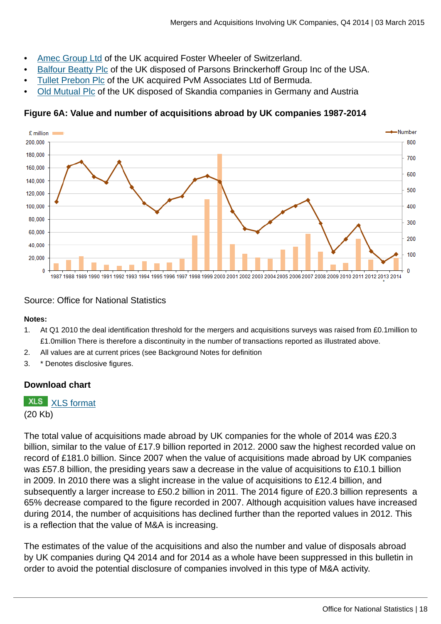- [Amec Group Ltd](http://www.amecfw.com/media/news-releases/2014/amec-foster-wheeler-a-new-force-in-global-engineering-project-delivery-asset-support-power-equipment-and-consultancy) of the UK acquired Foster Wheeler of Switzerland.
- [Balfour Beatty Plc](http://www.investegate.co.uk/balfour-beatty-plc--bby-/rns/completion-of-disposal-of-parsons-brinckerhoff/201410311343548613V/) of the UK disposed of Parsons Brinckerhoff Group Inc of the USA.
- [Tullet Prebon Plc](http://www.bobsguide.com/guide/news/2014/Nov/26/tullett-prebon-completes-acquisition-of-pvm.html) of the UK acquired PvM Associates Ltd of Bermuda.
- [Old Mutual Plc](http://citywire.co.uk/wealth-manager/news/old-mutual-sells-skandia-germany-and-austria/a743177) of the UK disposed of Skandia companies in Germany and Austria

### **Figure 6A: Value and number of acquisitions abroad by UK companies 1987-2014**



#### Source: Office for National Statistics

#### **Notes:**

- 1. At Q1 2010 the deal identification threshold for the mergers and acquisitions surveys was raised from £0.1million to £1.0million There is therefore a discontinuity in the number of transactions reported as illustrated above.
- 2. All values are at current prices (see Background Notes for definition
- 3. \* Denotes disclosive figures.

#### **Download chart**

## **XLS** [XLS format](http://www.ons.gov.uk:80/ons/rel/international-transactions/mergers-and-acquisitions-involving-uk-companies/q4-2014/chd-m-a-fig-6a.xls)

(20 Kb)

The total value of acquisitions made abroad by UK companies for the whole of 2014 was £20.3 billion, similar to the value of £17.9 billion reported in 2012. 2000 saw the highest recorded value on record of £181.0 billion. Since 2007 when the value of acquisitions made abroad by UK companies was £57.8 billion, the presiding years saw a decrease in the value of acquisitions to £10.1 billion in 2009. In 2010 there was a slight increase in the value of acquisitions to £12.4 billion, and subsequently a larger increase to £50.2 billion in 2011. The 2014 figure of £20.3 billion represents a 65% decrease compared to the figure recorded in 2007. Although acquisition values have increased during 2014, the number of acquisitions has declined further than the reported values in 2012. This is a reflection that the value of M&A is increasing.

The estimates of the value of the acquisitions and also the number and value of disposals abroad by UK companies during Q4 2014 and for 2014 as a whole have been suppressed in this bulletin in order to avoid the potential disclosure of companies involved in this type of M&A activity.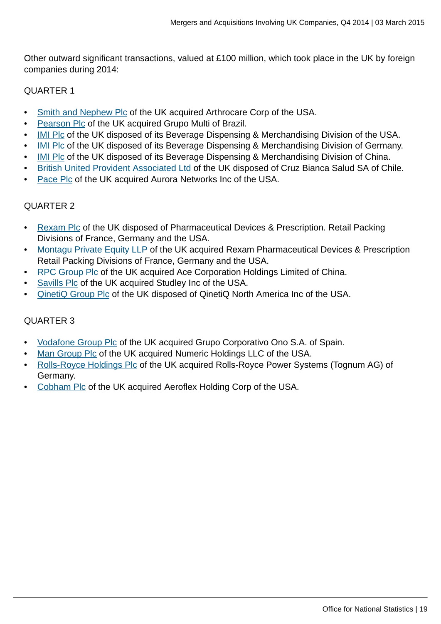Other outward significant transactions, valued at £100 million, which took place in the UK by foreign companies during 2014:

#### QUARTER 1

- [Smith and Nephew Plc](http://www.telegraph.co.uk/finance/newsbysector/pharmaceuticalsandchemicals/10615081/Smith-and-Nephew-buys-ArthroCare-to-boost-sports-medicine-arm.html) of the UK acquired Arthrocare Corp of the USA.
- [Pearson Plc](http://www.pearson.com/news/announcements/2013/december/pearson-acquiresgrupomultibecomesthemarketleaderinadultenglishla.html) of the UK acquired Grupo Multi of Brazil.
- [IMI Plc](http://www.imiplc.com/media/press-releases/2014/rddisp020114.aspx) of the UK disposed of its Beverage Dispensing & Merchandising Division of the USA.
- **[IMI Plc](http://www.imiplc.com/media/press-releases/2014/rddisp020114.aspx) of the UK disposed of its Beverage Dispensing & Merchandising Division of Germany.**
- [IMI Plc](http://www.imiplc.com/media/press-releases/2014/rddisp020114.aspx) of the UK disposed of its Beverage Dispensing & Merchandising Division of China.
- [British United Provident Associated Ltd](http://www.investegate.co.uk/brit-utd-provascbupa/rns/bupa-completes-acquisition-of-cruz-blanca-salud/201402241200067735A) of the UK disposed of Cruz Bianca Salud SA of Chile.
- [Pace Plc](http://www.thetelegraphandargus.co.uk/business/10921266.Pace_seals_deal_on_acquiring_US_firm/) of the UK acquired Aurora Networks Inc of the USA.

#### QUARTER 2

- [Rexam Plc](http://www.investegate.co.uk/rexam-plc--rex-/rns/disposal/201406021438086243I/) of the UK disposed of Pharmaceutical Devices & Prescription. Retail Packing Divisions of France, Germany and the USA.
- [Montagu Private Equity LLP](http://www.packaging-gateway.com/news/news-rexam-sells-healthcare-packaging-divisions-4260830) of the UK acquired Rexam Pharmaceutical Devices & Prescription Retail Packing Divisions of France, Germany and the USA.
- [RPC Group Plc](http://www.rpc-group.com/assets/regulatory-announcements/ra_14_06_02_607.pdf) of the UK acquired Ace Corporation Holdings Limited of China.
- [Savills Plc](http://www.savills.com/_news/article/105347/176738-0/6/2014/savills-completes-studley-acquisition) of the UK acquired Studley Inc of the USA.
- [QinetiQ Group Plc](http://www.stockmarketwire.com/article/4817940/QinetiQ-completes-sale-of-US-services-division.html) of the UK disposed of QinetiQ North America Inc of the USA.

## QUARTER 3

- [Vodafone Group Plc](http://www.investegate.co.uk/vodafone-group-plc--vod-/rns/vodafone-completes-eur7-2-bn-acquisition-of-ono/201407231116151072N/) of the UK acquired Grupo Corporativo Ono S.A. of Spain.
- [Man Group Plc](http://www.investegate.co.uk/man-group-plc--emg-/rns/acquisition-of-numeric-holdings-llc/201406190700199868J/) of the UK acquired Numeric Holdings LLC of the USA.
- [Rolls-Royce Holdings Plc](http://www.investegate.co.uk/rolls-royce-holdings--rr--/rns/acquisition/201408261516280420Q/) of the UK acquired Rolls-Royce Power Systems (Tognum AG) of Germany.
- [Cobham Plc](http://www.investegate.co.uk/cobham-plc--cob-/rns/aeroflex-acquisition-completed/201409150700126057R/) of the UK acquired Aeroflex Holding Corp of the USA.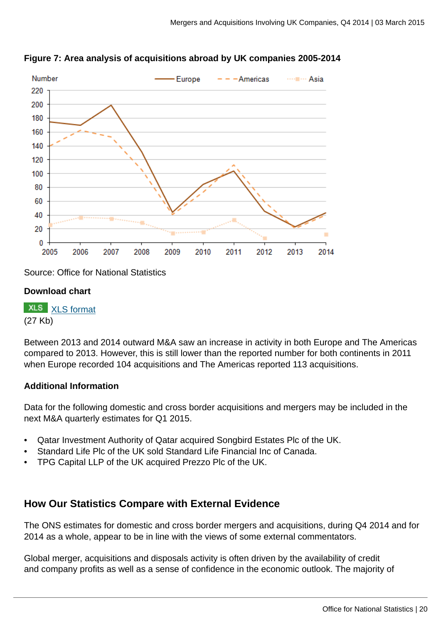



Source: Office for National Statistics

#### **Download chart**

**XLS** [XLS format](http://www.ons.gov.uk:80/ons/rel/international-transactions/mergers-and-acquisitions-involving-uk-companies/q4-2014/chd-m-a-fig-7.xls) (27 Kb)

Between 2013 and 2014 outward M&A saw an increase in activity in both Europe and The Americas compared to 2013. However, this is still lower than the reported number for both continents in 2011 when Europe recorded 104 acquisitions and The Americas reported 113 acquisitions.

#### **Additional Information**

Data for the following domestic and cross border acquisitions and mergers may be included in the next M&A quarterly estimates for Q1 2015.

- Qatar Investment Authority of Qatar acquired Songbird Estates Plc of the UK.
- Standard Life Plc of the UK sold Standard Life Financial Inc of Canada.
- TPG Capital LLP of the UK acquired Prezzo Plc of the UK.

# **How Our Statistics Compare with External Evidence**

The ONS estimates for domestic and cross border mergers and acquisitions, during Q4 2014 and for 2014 as a whole, appear to be in line with the views of some external commentators.

Global merger, acquisitions and disposals activity is often driven by the availability of credit and company profits as well as a sense of confidence in the economic outlook. The majority of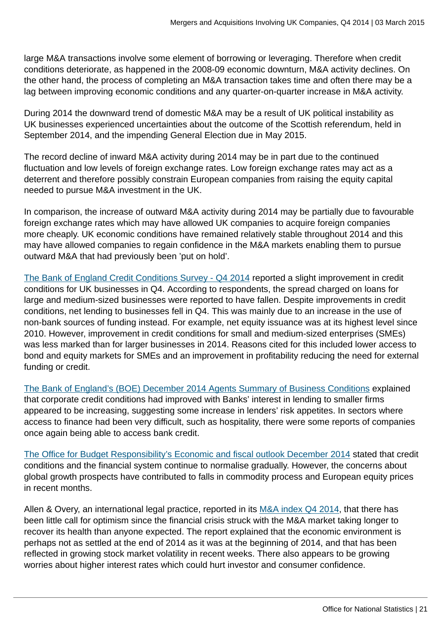large M&A transactions involve some element of borrowing or leveraging. Therefore when credit conditions deteriorate, as happened in the 2008-09 economic downturn, M&A activity declines. On the other hand, the process of completing an M&A transaction takes time and often there may be a lag between improving economic conditions and any quarter-on-quarter increase in M&A activity.

During 2014 the downward trend of domestic M&A may be a result of UK political instability as UK businesses experienced uncertainties about the outcome of the Scottish referendum, held in September 2014, and the impending General Election due in May 2015.

The record decline of inward M&A activity during 2014 may be in part due to the continued fluctuation and low levels of foreign exchange rates. Low foreign exchange rates may act as a deterrent and therefore possibly constrain European companies from raising the equity capital needed to pursue M&A investment in the UK.

In comparison, the increase of outward M&A activity during 2014 may be partially due to favourable foreign exchange rates which may have allowed UK companies to acquire foreign companies more cheaply. UK economic conditions have remained relatively stable throughout 2014 and this may have allowed companies to regain confidence in the M&A markets enabling them to pursue outward M&A that had previously been 'put on hold'.

[The Bank of England Credit Conditions Survey - Q4 2014](http://www.bankofengland.co.uk/publications/Documents/other/monetary/ccs/creditconditionssurvey150106.pdf) reported a slight improvement in credit conditions for UK businesses in Q4. According to respondents, the spread charged on loans for large and medium-sized businesses were reported to have fallen. Despite improvements in credit conditions, net lending to businesses fell in Q4. This was mainly due to an increase in the use of non-bank sources of funding instead. For example, net equity issuance was at its highest level since 2010. However, improvement in credit conditions for small and medium-sized enterprises (SMEs) was less marked than for larger businesses in 2014. Reasons cited for this included lower access to bond and equity markets for SMEs and an improvement in profitability reducing the need for external funding or credit.

[The Bank of England's \(BOE\) December 2014 Agents Summary of Business Conditions](http://www.bankofengland.co.uk/publications/Documents/agentssummary/2014/agsum14dec.pdf) explained that corporate credit conditions had improved with Banks' interest in lending to smaller firms appeared to be increasing, suggesting some increase in lenders' risk appetites. In sectors where access to finance had been very difficult, such as hospitality, there were some reports of companies once again being able to access bank credit.

[The Office for Budget Responsibility's Economic and fiscal outlook December 2014](http://cdn.budgetresponsibility.independent.gov.uk/December_2014_EFO-web513.pdf) stated that credit conditions and the financial system continue to normalise gradually. However, the concerns about global growth prospects have contributed to falls in commodity process and European equity prices in recent months.

Allen & Overy, an international legal practice, reported in its [M&A index Q4 2014](http://www.allenovery.com/SiteCollectionDocuments/MA-Q4-2014.pdf), that there has been little call for optimism since the financial crisis struck with the M&A market taking longer to recover its health than anyone expected. The report explained that the economic environment is perhaps not as settled at the end of 2014 as it was at the beginning of 2014, and that has been reflected in growing stock market volatility in recent weeks. There also appears to be growing worries about higher interest rates which could hurt investor and consumer confidence.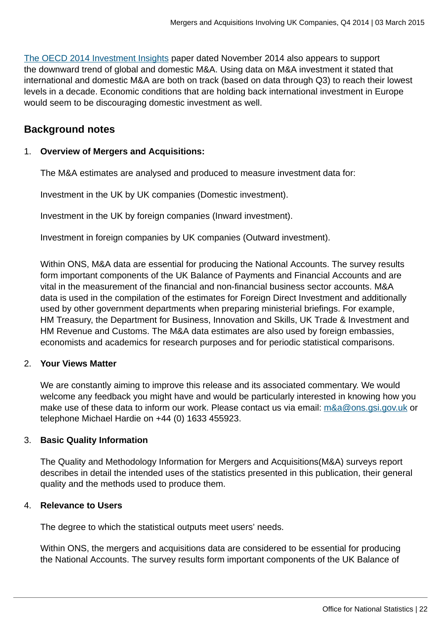[The OECD 2014 Investment Insights](http://www.oecd.org/daf/inv/investment-policy/InvestmentInsights-Nov2014.pdf) paper dated November 2014 also appears to support the downward trend of global and domestic M&A. Using data on M&A investment it stated that international and domestic M&A are both on track (based on data through Q3) to reach their lowest levels in a decade. Economic conditions that are holding back international investment in Europe would seem to be discouraging domestic investment as well.

## **Background notes**

#### 1. **Overview of Mergers and Acquisitions:**

The M&A estimates are analysed and produced to measure investment data for:

Investment in the UK by UK companies (Domestic investment).

Investment in the UK by foreign companies (Inward investment).

Investment in foreign companies by UK companies (Outward investment).

Within ONS, M&A data are essential for producing the National Accounts. The survey results form important components of the UK Balance of Payments and Financial Accounts and are vital in the measurement of the financial and non-financial business sector accounts. M&A data is used in the compilation of the estimates for Foreign Direct Investment and additionally used by other government departments when preparing ministerial briefings. For example, HM Treasury, the Department for Business, Innovation and Skills, UK Trade & Investment and HM Revenue and Customs. The M&A data estimates are also used by foreign embassies, economists and academics for research purposes and for periodic statistical comparisons.

#### 2. **Your Views Matter**

We are constantly aiming to improve this release and its associated commentary. We would welcome any feedback you might have and would be particularly interested in knowing how you make use of these data to inform our work. Please contact us via email: [m&a@ons.gsi.gov.uk](mailto:m&a@ons.gsi.gov.uk) or telephone Michael Hardie on +44 (0) 1633 455923.

#### 3. **Basic Quality Information**

The Quality and Methodology Information for Mergers and Acquisitions(M&A) surveys report describes in detail the intended uses of the statistics presented in this publication, their general quality and the methods used to produce them.

#### 4. **Relevance to Users**

The degree to which the statistical outputs meet users' needs.

Within ONS, the mergers and acquisitions data are considered to be essential for producing the National Accounts. The survey results form important components of the UK Balance of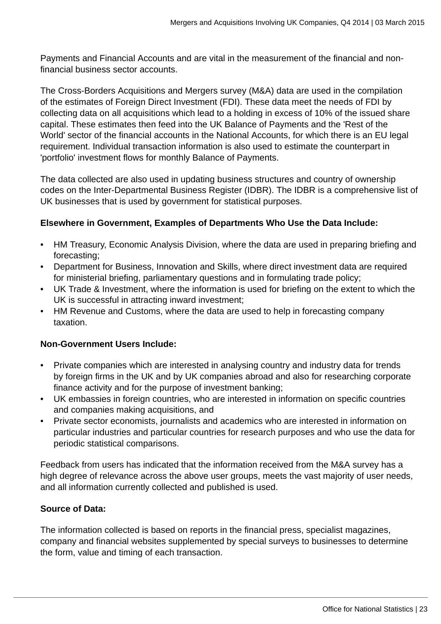Payments and Financial Accounts and are vital in the measurement of the financial and nonfinancial business sector accounts.

The Cross-Borders Acquisitions and Mergers survey (M&A) data are used in the compilation of the estimates of Foreign Direct Investment (FDI). These data meet the needs of FDI by collecting data on all acquisitions which lead to a holding in excess of 10% of the issued share capital. These estimates then feed into the UK Balance of Payments and the 'Rest of the World' sector of the financial accounts in the National Accounts, for which there is an EU legal requirement. Individual transaction information is also used to estimate the counterpart in 'portfolio' investment flows for monthly Balance of Payments.

The data collected are also used in updating business structures and country of ownership codes on the Inter-Departmental Business Register (IDBR). The IDBR is a comprehensive list of UK businesses that is used by government for statistical purposes.

#### **Elsewhere in Government, Examples of Departments Who Use the Data Include:**

- HM Treasury, Economic Analysis Division, where the data are used in preparing briefing and forecasting;
- Department for Business, Innovation and Skills, where direct investment data are required for ministerial briefing, parliamentary questions and in formulating trade policy;
- UK Trade & Investment, where the information is used for briefing on the extent to which the UK is successful in attracting inward investment;
- HM Revenue and Customs, where the data are used to help in forecasting company taxation.

#### **Non-Government Users Include:**

- Private companies which are interested in analysing country and industry data for trends by foreign firms in the UK and by UK companies abroad and also for researching corporate finance activity and for the purpose of investment banking;
- UK embassies in foreign countries, who are interested in information on specific countries and companies making acquisitions, and
- Private sector economists, journalists and academics who are interested in information on particular industries and particular countries for research purposes and who use the data for periodic statistical comparisons.

Feedback from users has indicated that the information received from the M&A survey has a high degree of relevance across the above user groups, meets the vast majority of user needs, and all information currently collected and published is used.

#### **Source of Data:**

The information collected is based on reports in the financial press, specialist magazines, company and financial websites supplemented by special surveys to businesses to determine the form, value and timing of each transaction.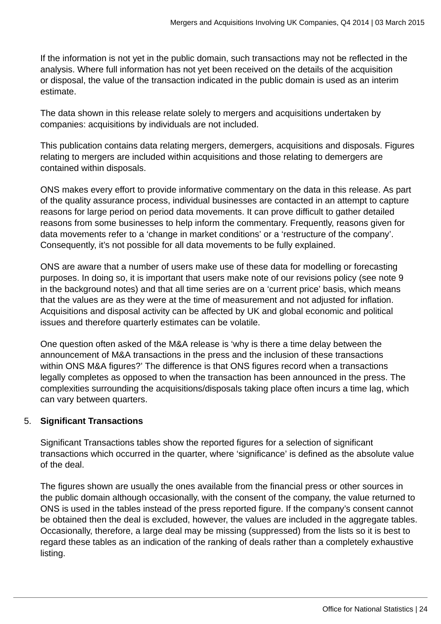If the information is not yet in the public domain, such transactions may not be reflected in the analysis. Where full information has not yet been received on the details of the acquisition or disposal, the value of the transaction indicated in the public domain is used as an interim estimate.

The data shown in this release relate solely to mergers and acquisitions undertaken by companies: acquisitions by individuals are not included.

This publication contains data relating mergers, demergers, acquisitions and disposals. Figures relating to mergers are included within acquisitions and those relating to demergers are contained within disposals.

ONS makes every effort to provide informative commentary on the data in this release. As part of the quality assurance process, individual businesses are contacted in an attempt to capture reasons for large period on period data movements. It can prove difficult to gather detailed reasons from some businesses to help inform the commentary. Frequently, reasons given for data movements refer to a 'change in market conditions' or a 'restructure of the company'. Consequently, it's not possible for all data movements to be fully explained.

ONS are aware that a number of users make use of these data for modelling or forecasting purposes. In doing so, it is important that users make note of our revisions policy (see note 9 in the background notes) and that all time series are on a 'current price' basis, which means that the values are as they were at the time of measurement and not adjusted for inflation. Acquisitions and disposal activity can be affected by UK and global economic and political issues and therefore quarterly estimates can be volatile.

One question often asked of the M&A release is 'why is there a time delay between the announcement of M&A transactions in the press and the inclusion of these transactions within ONS M&A figures?' The difference is that ONS figures record when a transactions legally completes as opposed to when the transaction has been announced in the press. The complexities surrounding the acquisitions/disposals taking place often incurs a time lag, which can vary between quarters.

#### 5. **Significant Transactions**

Significant Transactions tables show the reported figures for a selection of significant transactions which occurred in the quarter, where 'significance' is defined as the absolute value of the deal.

The figures shown are usually the ones available from the financial press or other sources in the public domain although occasionally, with the consent of the company, the value returned to ONS is used in the tables instead of the press reported figure. If the company's consent cannot be obtained then the deal is excluded, however, the values are included in the aggregate tables. Occasionally, therefore, a large deal may be missing (suppressed) from the lists so it is best to regard these tables as an indication of the ranking of deals rather than a completely exhaustive listing.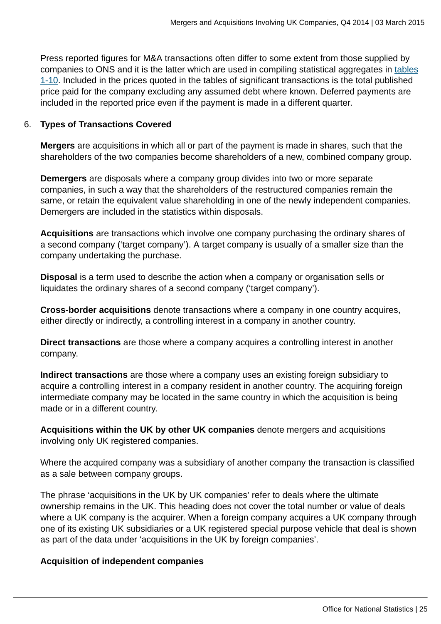Press reported figures for M&A transactions often differ to some extent from those supplied by companies to ONS and it is the latter which are used in compiling statistical aggregates in [tables](http://www.ons.gov.uk:80/ons) [1-10](http://www.ons.gov.uk:80/ons). Included in the prices quoted in the tables of significant transactions is the total published price paid for the company excluding any assumed debt where known. Deferred payments are included in the reported price even if the payment is made in a different quarter.

#### 6. **Types of Transactions Covered**

**Mergers** are acquisitions in which all or part of the payment is made in shares, such that the shareholders of the two companies become shareholders of a new, combined company group.

**Demergers** are disposals where a company group divides into two or more separate companies, in such a way that the shareholders of the restructured companies remain the same, or retain the equivalent value shareholding in one of the newly independent companies. Demergers are included in the statistics within disposals.

**Acquisitions** are transactions which involve one company purchasing the ordinary shares of a second company ('target company'). A target company is usually of a smaller size than the company undertaking the purchase.

**Disposal** is a term used to describe the action when a company or organisation sells or liquidates the ordinary shares of a second company ('target company').

**Cross-border acquisitions** denote transactions where a company in one country acquires, either directly or indirectly, a controlling interest in a company in another country.

**Direct transactions** are those where a company acquires a controlling interest in another company.

**Indirect transactions** are those where a company uses an existing foreign subsidiary to acquire a controlling interest in a company resident in another country. The acquiring foreign intermediate company may be located in the same country in which the acquisition is being made or in a different country.

**Acquisitions within the UK by other UK companies** denote mergers and acquisitions involving only UK registered companies.

Where the acquired company was a subsidiary of another company the transaction is classified as a sale between company groups.

The phrase 'acquisitions in the UK by UK companies' refer to deals where the ultimate ownership remains in the UK. This heading does not cover the total number or value of deals where a UK company is the acquirer. When a foreign company acquires a UK company through one of its existing UK subsidiaries or a UK registered special purpose vehicle that deal is shown as part of the data under 'acquisitions in the UK by foreign companies'.

#### **Acquisition of independent companies**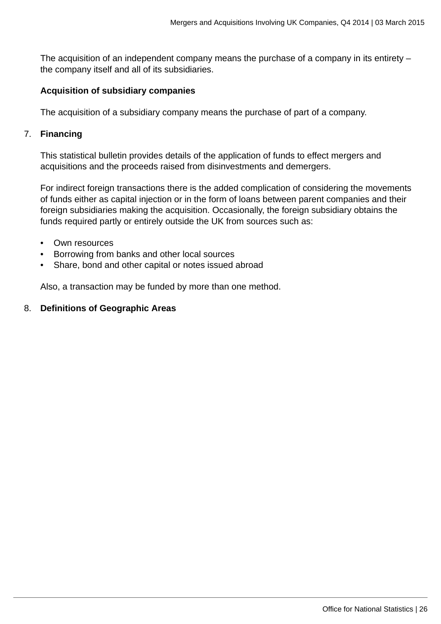The acquisition of an independent company means the purchase of a company in its entirety – the company itself and all of its subsidiaries.

#### **Acquisition of subsidiary companies**

The acquisition of a subsidiary company means the purchase of part of a company.

#### 7. **Financing**

This statistical bulletin provides details of the application of funds to effect mergers and acquisitions and the proceeds raised from disinvestments and demergers.

For indirect foreign transactions there is the added complication of considering the movements of funds either as capital injection or in the form of loans between parent companies and their foreign subsidiaries making the acquisition. Occasionally, the foreign subsidiary obtains the funds required partly or entirely outside the UK from sources such as:

- Own resources
- Borrowing from banks and other local sources
- Share, bond and other capital or notes issued abroad

Also, a transaction may be funded by more than one method.

#### 8. **Definitions of Geographic Areas**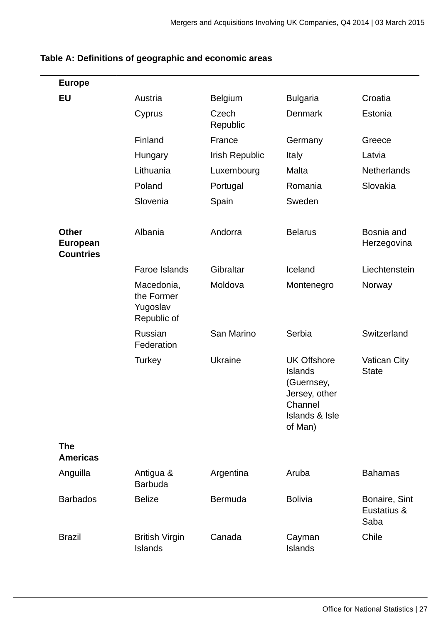| <b>Europe</b>                                       |                                                     |                   |                                                                                                                        |                                      |
|-----------------------------------------------------|-----------------------------------------------------|-------------------|------------------------------------------------------------------------------------------------------------------------|--------------------------------------|
| <b>EU</b>                                           | Austria                                             | <b>Belgium</b>    | <b>Bulgaria</b>                                                                                                        | Croatia                              |
|                                                     | Cyprus                                              | Czech<br>Republic | <b>Denmark</b>                                                                                                         | Estonia                              |
|                                                     | Finland                                             | France            | Germany                                                                                                                | Greece                               |
|                                                     | Hungary                                             | Irish Republic    | Italy                                                                                                                  | Latvia                               |
|                                                     | Lithuania                                           | Luxembourg        | Malta                                                                                                                  | Netherlands                          |
|                                                     | Poland                                              | Portugal          | Romania                                                                                                                | Slovakia                             |
|                                                     | Slovenia                                            | Spain             | Sweden                                                                                                                 |                                      |
| <b>Other</b><br><b>European</b><br><b>Countries</b> | Albania                                             | Andorra           | <b>Belarus</b>                                                                                                         | Bosnia and<br>Herzegovina            |
|                                                     | Faroe Islands                                       | Gibraltar         | Iceland                                                                                                                | Liechtenstein                        |
|                                                     | Macedonia,<br>the Former<br>Yugoslav<br>Republic of | Moldova           | Montenegro                                                                                                             | Norway                               |
|                                                     | <b>Russian</b><br>Federation                        | San Marino        | Serbia                                                                                                                 | Switzerland                          |
|                                                     | <b>Turkey</b>                                       | Ukraine           | <b>UK Offshore</b><br><b>Islands</b><br>(Guernsey,<br>Jersey, other<br>Channel<br><b>Islands &amp; Isle</b><br>of Man) | <b>Vatican City</b><br><b>State</b>  |
| <b>The</b><br><b>Americas</b>                       |                                                     |                   |                                                                                                                        |                                      |
| Anguilla                                            | Antigua &<br><b>Barbuda</b>                         | Argentina         | Aruba                                                                                                                  | <b>Bahamas</b>                       |
| <b>Barbados</b>                                     | <b>Belize</b>                                       | <b>Bermuda</b>    | <b>Bolivia</b>                                                                                                         | Bonaire, Sint<br>Eustatius &<br>Saba |
| <b>Brazil</b>                                       | <b>British Virgin</b><br><b>Islands</b>             | Canada            | Cayman<br><b>Islands</b>                                                                                               | Chile                                |

# **Table A: Definitions of geographic and economic areas**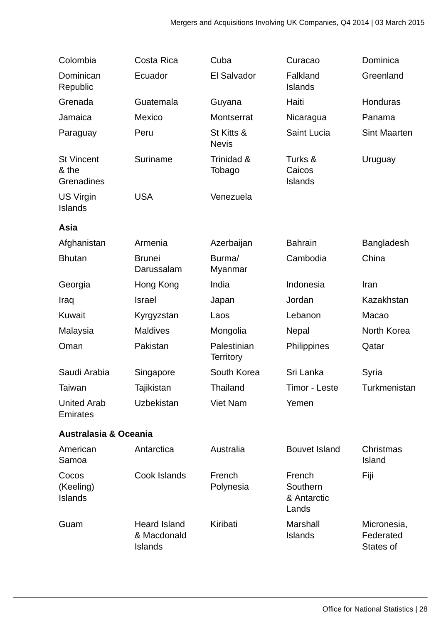| Colombia                                 | Costa Rica                                           | Cuba                            | Curacao                                    | Dominica                              |
|------------------------------------------|------------------------------------------------------|---------------------------------|--------------------------------------------|---------------------------------------|
| Dominican<br>Republic                    | Ecuador                                              | El Salvador                     | Falkland<br><b>Islands</b>                 | Greenland                             |
| Grenada                                  | Guatemala                                            | Guyana                          | Haiti                                      | Honduras                              |
| Jamaica                                  | Mexico                                               | Montserrat                      | Nicaragua                                  | Panama                                |
| Paraguay                                 | Peru                                                 | St Kitts &<br><b>Nevis</b>      | Saint Lucia                                | <b>Sint Maarten</b>                   |
| <b>St Vincent</b><br>& the<br>Grenadines | Suriname                                             | Trinidad &<br>Tobago            | Turks &<br>Caicos<br><b>Islands</b>        | Uruguay                               |
| <b>US Virgin</b><br><b>Islands</b>       | <b>USA</b>                                           | Venezuela                       |                                            |                                       |
| Asia                                     |                                                      |                                 |                                            |                                       |
| Afghanistan                              | Armenia                                              | Azerbaijan                      | <b>Bahrain</b>                             | Bangladesh                            |
| <b>Bhutan</b>                            | <b>Brunei</b><br>Darussalam                          | Burma/<br>Myanmar               | Cambodia                                   | China                                 |
| Georgia                                  | Hong Kong                                            | India                           | Indonesia                                  | Iran                                  |
| Iraq                                     | <b>Israel</b>                                        | Japan                           | Jordan                                     | Kazakhstan                            |
| Kuwait                                   | Kyrgyzstan                                           | Laos                            | Lebanon                                    | Macao                                 |
| Malaysia                                 | <b>Maldives</b>                                      | Mongolia                        | <b>Nepal</b>                               | North Korea                           |
| Oman                                     | Pakistan                                             | Palestinian<br><b>Territory</b> | Philippines                                | Qatar                                 |
| Saudi Arabia                             | Singapore                                            | South Korea                     | Sri Lanka                                  | Syria                                 |
| Taiwan                                   | <b>Tajikistan</b>                                    | Thailand                        | Timor - Leste                              | Turkmenistan                          |
| <b>United Arab</b><br>Emirates           | <b>Uzbekistan</b>                                    | <b>Viet Nam</b>                 | Yemen                                      |                                       |
| <b>Australasia &amp; Oceania</b>         |                                                      |                                 |                                            |                                       |
| American<br>Samoa                        | Antarctica                                           | Australia                       | <b>Bouvet Island</b>                       | Christmas<br><b>Island</b>            |
| Cocos<br>(Keeling)<br><b>Islands</b>     | Cook Islands                                         | French<br>Polynesia             | French<br>Southern<br>& Antarctic<br>Lands | Fiji                                  |
| Guam                                     | <b>Heard Island</b><br>& Macdonald<br><b>Islands</b> | Kiribati                        | Marshall<br><b>Islands</b>                 | Micronesia,<br>Federated<br>States of |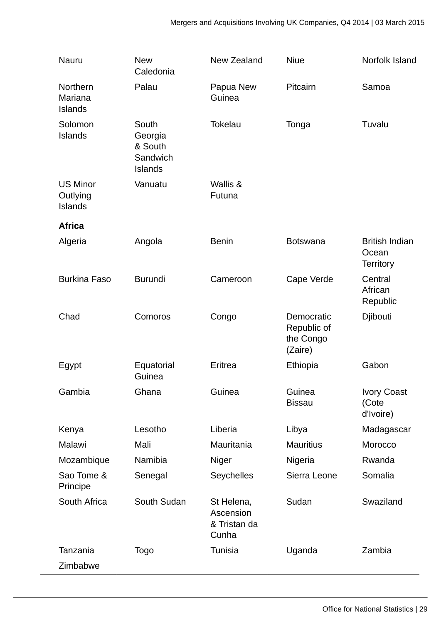| Nauru                                         | <b>New</b><br>Caledonia                                   | New Zealand                                      | <b>Niue</b>                                       | Norfolk Island                                     |
|-----------------------------------------------|-----------------------------------------------------------|--------------------------------------------------|---------------------------------------------------|----------------------------------------------------|
| Northern<br>Mariana<br><b>Islands</b>         | Palau                                                     | Papua New<br>Guinea                              | Pitcairn                                          | Samoa                                              |
| Solomon<br><b>Islands</b>                     | South<br>Georgia<br>& South<br>Sandwich<br><b>Islands</b> | <b>Tokelau</b>                                   | Tonga                                             | Tuvalu                                             |
| <b>US Minor</b><br>Outlying<br><b>Islands</b> | Vanuatu                                                   | Wallis &<br>Futuna                               |                                                   |                                                    |
| <b>Africa</b>                                 |                                                           |                                                  |                                                   |                                                    |
| Algeria                                       | Angola                                                    | <b>Benin</b>                                     | <b>Botswana</b>                                   | <b>British Indian</b><br>Ocean<br><b>Territory</b> |
| <b>Burkina Faso</b>                           | <b>Burundi</b>                                            | Cameroon                                         | Cape Verde                                        | Central<br>African<br>Republic                     |
| Chad                                          | Comoros                                                   | Congo                                            | Democratic<br>Republic of<br>the Congo<br>(Zaire) | Djibouti                                           |
| Egypt                                         | Equatorial<br>Guinea                                      | Eritrea                                          | Ethiopia                                          | Gabon                                              |
| Gambia                                        | Ghana                                                     | Guinea                                           | Guinea<br><b>Bissau</b>                           | <b>Ivory Coast</b><br>(Cote<br>d'Ivoire)           |
| Kenya                                         | Lesotho                                                   | Liberia                                          | Libya                                             | Madagascar                                         |
| Malawi                                        | Mali                                                      | Mauritania                                       | <b>Mauritius</b>                                  | Morocco                                            |
| Mozambique                                    | Namibia                                                   | Niger                                            | Nigeria                                           | Rwanda                                             |
| Sao Tome &<br>Principe                        | Senegal                                                   | Seychelles                                       | Sierra Leone                                      | Somalia                                            |
| South Africa                                  | South Sudan                                               | St Helena,<br>Ascension<br>& Tristan da<br>Cunha | Sudan                                             | Swaziland                                          |
| Tanzania                                      | <b>Togo</b>                                               | Tunisia                                          | Uganda                                            | Zambia                                             |
| Zimbabwe                                      |                                                           |                                                  |                                                   |                                                    |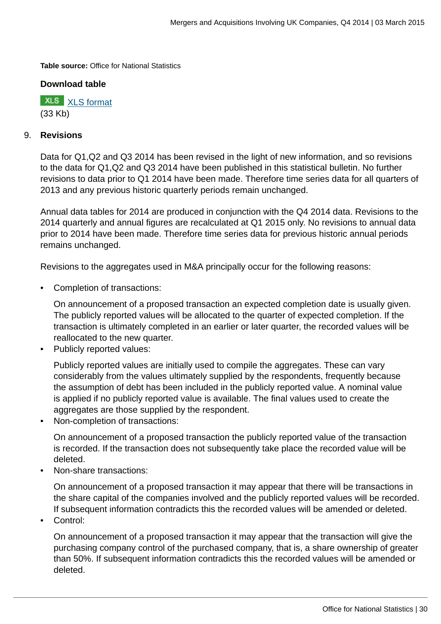**Table source:** Office for National Statistics

#### **Download table**

**XLS** [XLS format](http://www.ons.gov.uk:80/ons/rel/international-transactions/mergers-and-acquisitions-involving-uk-companies/q4-2014/prt-m-a-geog.xls) (33 Kb)

#### 9. **Revisions**

Data for Q1,Q2 and Q3 2014 has been revised in the light of new information, and so revisions to the data for Q1,Q2 and Q3 2014 have been published in this statistical bulletin. No further revisions to data prior to Q1 2014 have been made. Therefore time series data for all quarters of 2013 and any previous historic quarterly periods remain unchanged.

Annual data tables for 2014 are produced in conjunction with the Q4 2014 data. Revisions to the 2014 quarterly and annual figures are recalculated at Q1 2015 only. No revisions to annual data prior to 2014 have been made. Therefore time series data for previous historic annual periods remains unchanged.

Revisions to the aggregates used in M&A principally occur for the following reasons:

• Completion of transactions:

On announcement of a proposed transaction an expected completion date is usually given. The publicly reported values will be allocated to the quarter of expected completion. If the transaction is ultimately completed in an earlier or later quarter, the recorded values will be reallocated to the new quarter.

• Publicly reported values:

Publicly reported values are initially used to compile the aggregates. These can vary considerably from the values ultimately supplied by the respondents, frequently because the assumption of debt has been included in the publicly reported value. A nominal value is applied if no publicly reported value is available. The final values used to create the aggregates are those supplied by the respondent.

• Non-completion of transactions:

On announcement of a proposed transaction the publicly reported value of the transaction is recorded. If the transaction does not subsequently take place the recorded value will be deleted.

• Non-share transactions:

On announcement of a proposed transaction it may appear that there will be transactions in the share capital of the companies involved and the publicly reported values will be recorded. If subsequent information contradicts this the recorded values will be amended or deleted.

• Control:

On announcement of a proposed transaction it may appear that the transaction will give the purchasing company control of the purchased company, that is, a share ownership of greater than 50%. If subsequent information contradicts this the recorded values will be amended or deleted.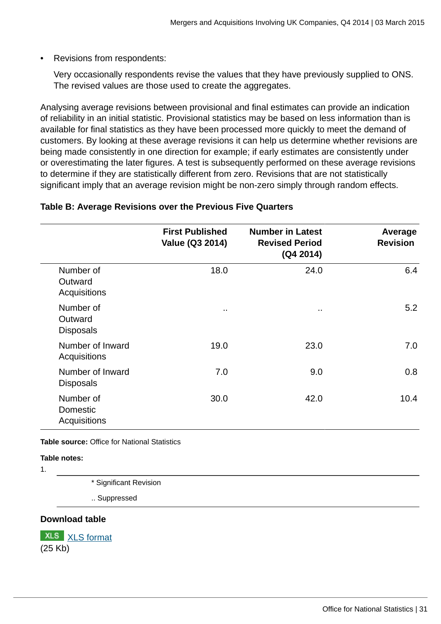Revisions from respondents:

Very occasionally respondents revise the values that they have previously supplied to ONS. The revised values are those used to create the aggregates.

Analysing average revisions between provisional and final estimates can provide an indication of reliability in an initial statistic. Provisional statistics may be based on less information than is available for final statistics as they have been processed more quickly to meet the demand of customers. By looking at these average revisions it can help us determine whether revisions are being made consistently in one direction for example; if early estimates are consistently under or overestimating the later figures. A test is subsequently performed on these average revisions to determine if they are statistically different from zero. Revisions that are not statistically significant imply that an average revision might be non-zero simply through random effects.

|                                          | <b>First Published</b><br>Value (Q3 2014) | <b>Number in Latest</b><br><b>Revised Period</b><br>(Q4 2014) | Average<br><b>Revision</b> |
|------------------------------------------|-------------------------------------------|---------------------------------------------------------------|----------------------------|
| Number of<br>Outward<br>Acquisitions     | 18.0                                      | 24.0                                                          | 6.4                        |
| Number of<br>Outward<br><b>Disposals</b> | $\ddot{\phantom{a}}$                      |                                                               | 5.2                        |
| Number of Inward<br>Acquisitions         | 19.0                                      | 23.0                                                          | 7.0                        |
| Number of Inward<br><b>Disposals</b>     | 7.0                                       | 9.0                                                           | 0.8                        |
| Number of<br>Domestic<br>Acquisitions    | 30.0                                      | 42.0                                                          | 10.4                       |

#### **Table B: Average Revisions over the Previous Five Quarters**

**Table source:** Office for National Statistics

#### **Table notes:**

1.

\* Significant Revision

.. Suppressed

#### **Download table**

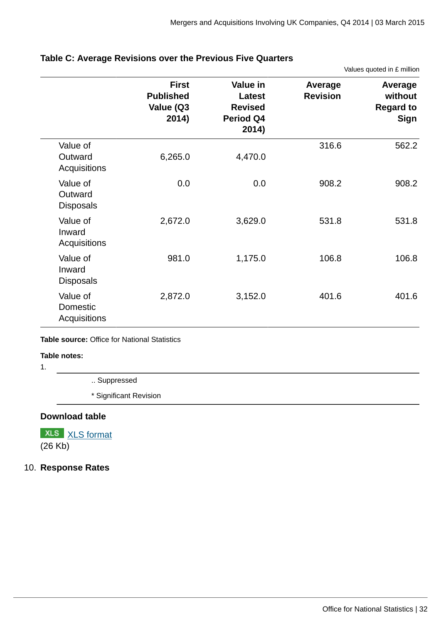Values quoted in £ million

|                                         | <b>First</b><br><b>Published</b><br>Value (Q3<br>2014) | Value in<br>Latest<br><b>Revised</b><br>Period Q4<br>2014) | Average<br><b>Revision</b> | Average<br>without<br><b>Regard to</b><br><b>Sign</b> |
|-----------------------------------------|--------------------------------------------------------|------------------------------------------------------------|----------------------------|-------------------------------------------------------|
| Value of<br>Outward<br>Acquisitions     | 6,265.0                                                | 4,470.0                                                    | 316.6                      | 562.2                                                 |
| Value of<br>Outward<br><b>Disposals</b> | 0.0                                                    | 0.0                                                        | 908.2                      | 908.2                                                 |
| Value of<br>Inward<br>Acquisitions      | 2,672.0                                                | 3,629.0                                                    | 531.8                      | 531.8                                                 |
| Value of<br>Inward<br><b>Disposals</b>  | 981.0                                                  | 1,175.0                                                    | 106.8                      | 106.8                                                 |
| Value of<br>Domestic<br>Acquisitions    | 2,872.0                                                | 3,152.0                                                    | 401.6                      | 401.6                                                 |

#### **Table C: Average Revisions over the Previous Five Quarters**

**Table source:** Office for National Statistics

#### **Table notes:**

1.

- .. Suppressed
- \* Significant Revision

#### **Download table**

**XLS** [XLS format](http://www.ons.gov.uk:80/ons/rel/international-transactions/mergers-and-acquisitions-involving-uk-companies/q4-2014/prt-m-a-table-c.xls) (26 Kb)

#### 10. **Response Rates**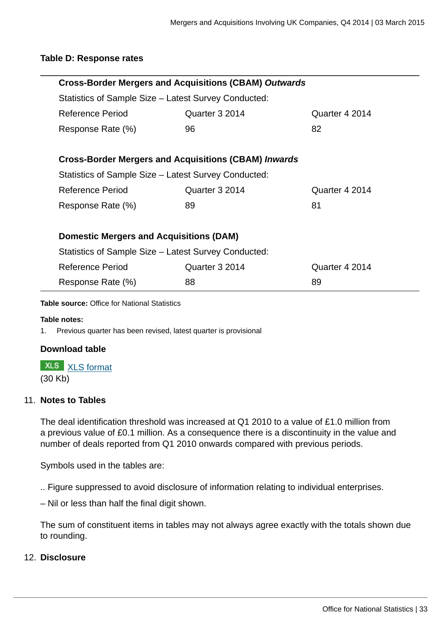#### **Table D: Response rates**

| <b>Cross-Border Mergers and Acquisitions (CBAM) Outwards</b> |                                                             |                |  |  |  |  |  |
|--------------------------------------------------------------|-------------------------------------------------------------|----------------|--|--|--|--|--|
| Statistics of Sample Size – Latest Survey Conducted:         |                                                             |                |  |  |  |  |  |
| Reference Period                                             | Quarter 3 2014                                              | Quarter 4 2014 |  |  |  |  |  |
| Response Rate (%)                                            | 96                                                          | 82             |  |  |  |  |  |
|                                                              |                                                             |                |  |  |  |  |  |
|                                                              | <b>Cross-Border Mergers and Acquisitions (CBAM) Inwards</b> |                |  |  |  |  |  |
| Statistics of Sample Size – Latest Survey Conducted:         |                                                             |                |  |  |  |  |  |
| Reference Period                                             | Quarter 3 2014                                              | Quarter 4 2014 |  |  |  |  |  |
| Response Rate (%)                                            | 89                                                          | 81             |  |  |  |  |  |
|                                                              |                                                             |                |  |  |  |  |  |
| <b>Domestic Mergers and Acquisitions (DAM)</b>               |                                                             |                |  |  |  |  |  |
|                                                              | Statistics of Sample Size – Latest Survey Conducted:        |                |  |  |  |  |  |
| Reference Period                                             | Quarter 3 2014                                              | Quarter 4 2014 |  |  |  |  |  |
| Response Rate (%)                                            | 89                                                          |                |  |  |  |  |  |

**Table source:** Office for National Statistics

#### **Table notes:**

1. Previous quarter has been revised, latest quarter is provisional

#### **Download table**

**XLS** [XLS format](http://www.ons.gov.uk:80/ons/rel/international-transactions/mergers-and-acquisitions-involving-uk-companies/q4-2014/prt-m-a-table-d.xls)

(30 Kb)

#### 11. **Notes to Tables**

The deal identification threshold was increased at Q1 2010 to a value of £1.0 million from a previous value of £0.1 million. As a consequence there is a discontinuity in the value and number of deals reported from Q1 2010 onwards compared with previous periods.

Symbols used in the tables are:

.. Figure suppressed to avoid disclosure of information relating to individual enterprises.

– Nil or less than half the final digit shown.

The sum of constituent items in tables may not always agree exactly with the totals shown due to rounding.

#### 12. **Disclosure**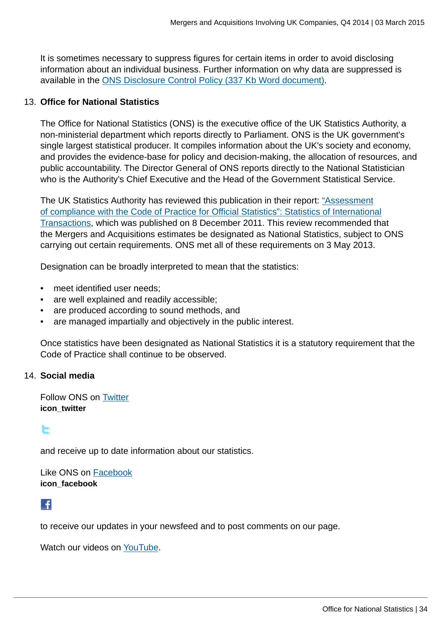It is sometimes necessary to suppress figures for certain items in order to avoid disclosing information about an individual business. Further information on why data are suppressed is available in the [ONS Disclosure Control Policy \(337 Kb Word document\)](http://www.ons.gov.uk:80/ons/guide-method/best-practice/disclosure-control-policy-for-tables/disclosure-control-policy-for-tables-produced-from-surveys.pdf).

#### 13. **Office for National Statistics**

The Office for National Statistics (ONS) is the executive office of the UK Statistics Authority, a non-ministerial department which reports directly to Parliament. ONS is the UK government's single largest statistical producer. It compiles information about the UK's society and economy, and provides the evidence-base for policy and decision-making, the allocation of resources, and public accountability. The Director General of ONS reports directly to the National Statistician who is the Authority's Chief Executive and the Head of the Government Statistical Service.

The UK Statistics Authority has reviewed this publication in their report: ["Assessment](http://www.ons.gov.uk:80/ons/external-links/stats-authority/uk-statistics-authority--assessment-reports.html) [of compliance with the Code of Practice for Official Statistics": Statistics of International](http://www.ons.gov.uk:80/ons/external-links/stats-authority/uk-statistics-authority--assessment-reports.html) [Transactions,](http://www.ons.gov.uk:80/ons/external-links/stats-authority/uk-statistics-authority--assessment-reports.html) which was published on 8 December 2011. This review recommended that the Mergers and Acquisitions estimates be designated as National Statistics, subject to ONS carrying out certain requirements. ONS met all of these requirements on 3 May 2013.

Designation can be broadly interpreted to mean that the statistics:

- meet identified user needs;
- are well explained and readily accessible;
- are produced according to sound methods, and
- are managed impartially and objectively in the public interest.

Once statistics have been designated as National Statistics it is a statutory requirement that the Code of Practice shall continue to be observed.

#### 14. **Social media**

Follow ONS on [Twitter](http://www.ons.gov.uk:80/ons/external-links/social-media/twitter.html) **icon\_twitter**

# Е

and receive up to date information about our statistics.

Like ONS on [Facebook](http://www.ons.gov.uk:80/ons/external-links/social-media/index.html) **icon\_facebook**

# L.

to receive our updates in your newsfeed and to post comments on our page.

Watch our videos on [YouTube.](http://www.ons.gov.uk:80/ons/external-links/social-media/youtube.html)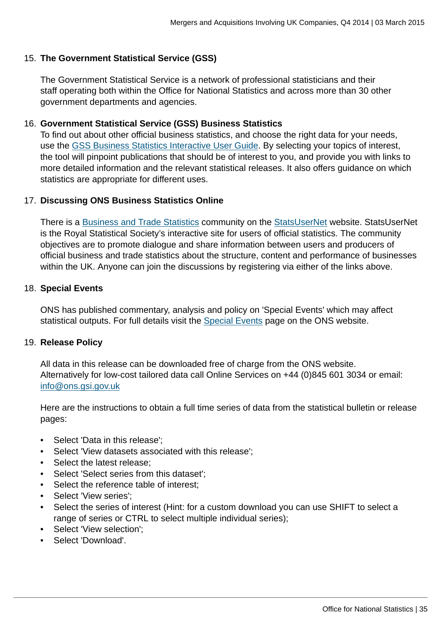#### 15. **The Government Statistical Service (GSS)**

The Government Statistical Service is a network of professional statisticians and their staff operating both within the Office for National Statistics and across more than 30 other government departments and agencies.

#### 16. **Government Statistical Service (GSS) Business Statistics**

To find out about other official business statistics, and choose the right data for your needs, use the [GSS Business Statistics Interactive User Guide](http://www.ons.gov.uk:80/ons/guide-method/understanding-ons-statistics/business-statistics---interactive-user-guide/index.html). By selecting your topics of interest, the tool will pinpoint publications that should be of interest to you, and provide you with links to more detailed information and the relevant statistical releases. It also offers guidance on which statistics are appropriate for different uses.

#### 17. **Discussing ONS Business Statistics Online**

There is a [Business and Trade Statistics](http://www.ons.gov.uk:80/ons/external-links/organisations/statsusernet/business-and-trade-statistics.html) community on the [StatsUserNet](http://www.ons.gov.uk:80/ons/external-links/organisations/statsusernet/statsusernet-home.html) website. StatsUserNet is the Royal Statistical Society's interactive site for users of official statistics. The community objectives are to promote dialogue and share information between users and producers of official business and trade statistics about the structure, content and performance of businesses within the UK. Anyone can join the discussions by registering via either of the links above.

#### 18. **Special Events**

ONS has published commentary, analysis and policy on 'Special Events' which may affect statistical outputs. For full details visit the **[Special Events](http://www.ons.gov.uk:80/ons/guide-method/method-quality/general-methodology/special-events-group/index.html) page on the ONS website.** 

#### 19. **Release Policy**

All data in this release can be downloaded free of charge from the ONS website. Alternatively for low-cost tailored data call Online Services on +44 (0)845 601 3034 or email: [info@ons.gsi.gov.uk](mailto:info@ons.gsi.gov.uk)

Here are the instructions to obtain a full time series of data from the statistical bulletin or release pages:

- Select 'Data in this release';
- Select 'View datasets associated with this release';
- Select the latest release;
- Select 'Select series from this dataset';
- Select the reference table of interest;
- Select 'View series';
- Select the series of interest (Hint: for a custom download you can use SHIFT to select a range of series or CTRL to select multiple individual series);
- Select 'View selection';
- Select 'Download'.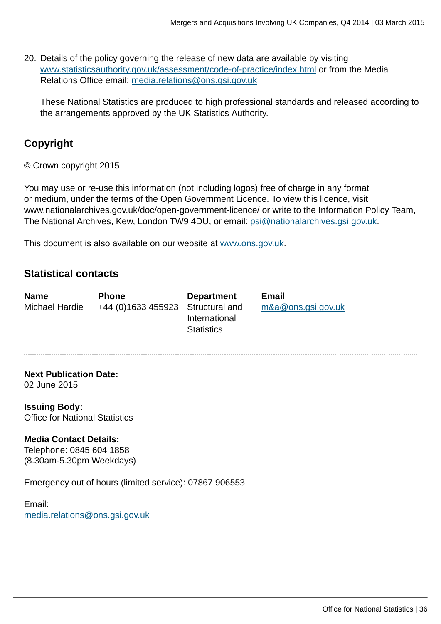20. Details of the policy governing the release of new data are available by visiting [www.statisticsauthority.gov.uk/assessment/code-of-practice/index.html](http://www.statisticsauthority.gov.uk/assessment/code-of-practice/index.html) or from the Media Relations Office email: [media.relations@ons.gsi.gov.uk](mailto:media.relations@ons.gsi.gov.uk)

These National Statistics are produced to high professional standards and released according to the arrangements approved by the UK Statistics Authority.

# **Copyright**

© Crown copyright 2015

You may use or re-use this information (not including logos) free of charge in any format or medium, under the terms of the Open Government Licence. To view this licence, visit www.nationalarchives.gov.uk/doc/open-government-licence/ or write to the Information Policy Team, The National Archives, Kew, London TW9 4DU, or email: [psi@nationalarchives.gsi.gov.uk](mailto:psi@nationalarchives.gsi.gov.uk).

This document is also available on our website at [www.ons.gov.uk.](http://www.ons.gov.uk/)

# **Statistical contacts**

| <b>Name</b>    | <b>Phone</b>                      | <b>Department</b> | <b>Email</b>          |
|----------------|-----------------------------------|-------------------|-----------------------|
| Michael Hardie | +44 (0)1633 455923 Structural and | International     | $m&a@$ ons.gsi.gov.uk |
|                |                                   | <b>Statistics</b> |                       |

**Next Publication Date:** 02 June 2015

**Issuing Body:** Office for National Statistics

#### **Media Contact Details:**

Telephone: 0845 604 1858 (8.30am-5.30pm Weekdays)

Emergency out of hours (limited service): 07867 906553

Email: [media.relations@ons.gsi.gov.uk](mailto:media.relations@ons.gsi.gov.uk)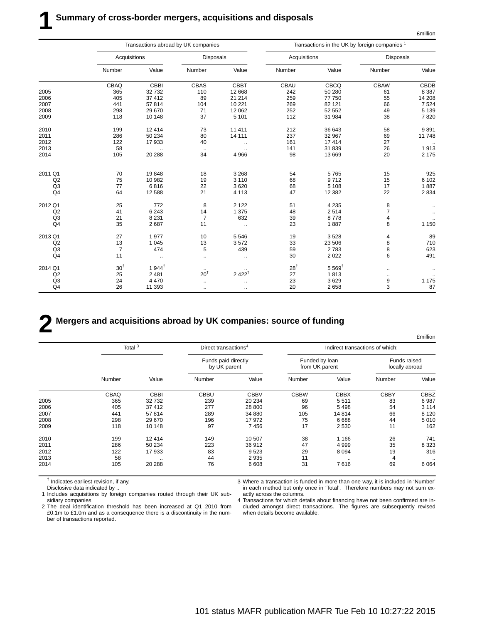£million

|                | Transactions abroad by UK companies |                  |                  |                      |                |                      | Transactions in the UK by foreign companies <sup>1</sup> |               |
|----------------|-------------------------------------|------------------|------------------|----------------------|----------------|----------------------|----------------------------------------------------------|---------------|
|                | Acquisitions                        |                  | <b>Disposals</b> |                      | Acquisitions   |                      | <b>Disposals</b>                                         |               |
|                | Number                              | Value            | Number           | Value                | Number         | Value                | Number                                                   | Value         |
|                | CBAQ                                | CBBI             | CBAS             | <b>CBBT</b>          | CBAU           | CBCQ                 | <b>CBAW</b>                                              | CBDB          |
| 2005           | 365                                 | 32732            | 110              | 12 668               | 242            | 50 280               | 61                                                       | 8 3 8 7       |
| 2006           | 405                                 | 37 412           | 89               | 21 214               | 259            | 77 750               | 55                                                       | 14 208        |
| 2007           | 441                                 | 57814            | 104              | 10 2 21              | 269            | 82 121               | 66                                                       | 7 5 24        |
| 2008           | 298                                 | 29 670           | 71               | 12 062               | 252            | 52 552               | 49                                                       | 5 1 3 9       |
| 2009           | 118                                 | 10 148           | 37               | 5 1 0 1              | 112            | 31 984               | 38                                                       | 7820          |
| 2010           | 199                                 | 12 4 14          | 73               | 11 411               | 212            | 36 643               | 58                                                       | 9891          |
| 2011           | 286                                 | 50 234           | 80               | 14 111               | 237            | 32 967               | 69                                                       | 11748         |
| 2012           | 122                                 | 17933            | 40               | $\ddot{\phantom{0}}$ | 161            | 17414                | 27                                                       | $\sim$ $\sim$ |
| 2013           | 58                                  | $\ldots$         | $\cdot$ .        |                      | 141            | 31 839               | 26                                                       | 1913          |
| 2014           | 105                                 | 20 288           | 34               | 4 9 6 6              | 98             | 13 669               | 20                                                       | 2 1 7 5       |
| 2011 Q1        | 70                                  | 19848            | 18               | 3 2 6 8              | 54             | 5765                 | 15                                                       | 925           |
| Q2             | 75                                  | 10 982           | 19               | 3 1 1 0              | 68             | 9712                 | 15                                                       | 6 102         |
| Q <sub>3</sub> | 77                                  | 6816             | 22               | 3620                 | 68             | 5 1 0 8              | 17                                                       | 1887          |
| Q <sub>4</sub> | 64                                  | 12 5 8 8         | 21               | 4 1 1 3              | 47             | 12 3 8 2             | 22                                                       | 2 8 3 4       |
|                |                                     |                  |                  |                      |                |                      |                                                          |               |
| 2012 Q1        | 25                                  | 772              | 8                | 2 1 2 2              | 51             | 4 2 3 5              | 8                                                        |               |
| Q2             | 41                                  | 6 2 4 3          | 14               | 1 3 7 5              | 48             | 2514                 | $\overline{7}$                                           |               |
| Q <sub>3</sub> | 21                                  | 8 2 3 1          | $\overline{7}$   | 632                  | 39             | 8778                 | 4                                                        |               |
| Q4             | 35                                  | 2687             | 11               | $\ddot{\phantom{0}}$ | 23             | 1887                 | 8                                                        | 1 1 5 0       |
| 2013 Q1        | 27                                  | 1977             | 10               | 5546                 | 19             | 3528                 | 4                                                        | 89            |
| Q2             | 13                                  | 1 0 4 5          | 13               | 3572                 | 33             | 23 506               | 8                                                        | 710           |
| Q <sub>3</sub> | $\overline{7}$                      | 474              | 5                | 439                  | 59             | 2783                 | 8                                                        | 623           |
| Q4             | 11                                  | $\ddotsc$        | a.               | $\ddotsc$            | 30             | 2 0 2 2              | 6                                                        | 491           |
| 2014 Q1        | 30 <sup>†</sup>                     | $1944^{\dagger}$ |                  |                      | $28^{\dagger}$ | $5.569$ <sup>t</sup> | $\ddotsc$                                                |               |
| Q2             | 25                                  | 2 4 8 1          | $20^{\dagger}$   | $2422^{\dagger}$     | 27             | 1813                 | $\cdot$ .                                                |               |
| Q <sub>3</sub> | 24                                  | 4 4 7 0          | $\ddotsc$        | $\ddotsc$            | 23             | 3629                 | 9                                                        | 1 1 7 5       |
| Q <sub>4</sub> | 26                                  | 11 393           | $\ddotsc$        | $\ldots$             | 20             | 2658                 | 3                                                        | 87            |

# **2 Mergers and acquisitions abroad by UK companies: source of funding**

|      |        | Total <sup>3</sup>   |                                     | Direct transactions <sup>4</sup> |                                  | Indirect transactions of which: |                                |             |  |
|------|--------|----------------------|-------------------------------------|----------------------------------|----------------------------------|---------------------------------|--------------------------------|-------------|--|
|      |        |                      | Funds paid directly<br>by UK parent |                                  | Funded by Ioan<br>from UK parent |                                 | Funds raised<br>locally abroad |             |  |
|      | Number | Value                | Number                              | Value                            | Number                           | Value                           | Number                         | Value       |  |
|      | CBAQ   | <b>CBBI</b>          | <b>CBBU</b>                         | <b>CBBV</b>                      | <b>CBBW</b>                      | <b>CBBX</b>                     | <b>CBBY</b>                    | <b>CBBZ</b> |  |
| 2005 | 365    | 32732                | 239                                 | 20 234                           | 69                               | 5511                            | 83                             | 6987        |  |
| 2006 | 405    | 37412                | 277                                 | 28 800                           | 96                               | 5498                            | 54                             | 3 1 1 4     |  |
| 2007 | 441    | 57814                | 289                                 | 34 880                           | 105                              | 14814                           | 66                             | 8 1 2 0     |  |
| 2008 | 298    | 29 670               | 196                                 | 17 972                           | 75                               | 6688                            | 44                             | 5010        |  |
| 2009 | 118    | 10 148               | 97                                  | 7456                             | 17                               | 2530                            | 11                             | 162         |  |
| 2010 | 199    | 12 4 14              | 149                                 | 10 507                           | 38                               | 1 1 6 6                         | 26                             | 741         |  |
| 2011 | 286    | 50 234               | 223                                 | 36 912                           | 47                               | 4999                            | 35                             | 8 3 2 3     |  |
| 2012 | 122    | 17933                | 83                                  | 9523                             | 29                               | 8094                            | 19                             | 316         |  |
| 2013 | 58     | $\ddot{\phantom{0}}$ | 44                                  | 2935                             | 11                               | $\cdots$                        | 4                              |             |  |
| 2014 | 105    | 20 288               | 76                                  | 6 6 0 8                          | 31                               | 7616                            | 69                             | 6 0 64      |  |

 $<sup>†</sup>$  Indicates earliest revision, if any.</sup>

Disclosive data indicated by ..

1 Includes acquisitions by foreign companies routed through their UK subsidiary companies

2 The deal identification threshold has been increased at Q1 2010 from £0.1m to £1.0m and as a consequence there is a discontinuity in the number of transactions reported.

3 Where a transaction is funded in more than one way, it is included in 'Number' in each method but only once in 'Total'. Therefore numbers may not sum exactly across the columns.

4 Transactions for which details about financing have not been confirmed are included amongst direct transactions. The figures are subsequently revised when details become available.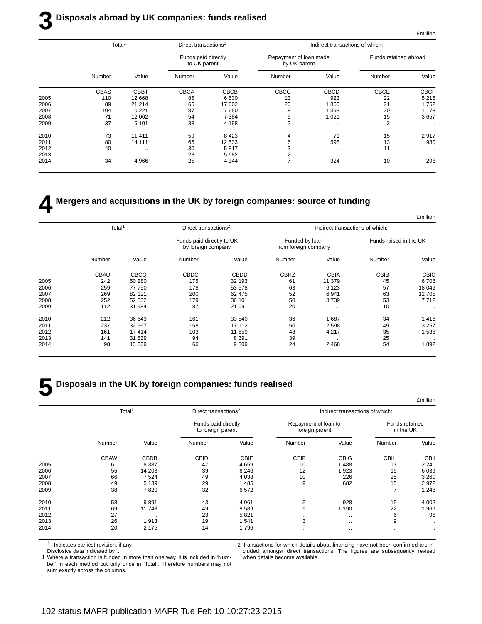# **3 Disposals abroad by UK companies: funds realised**

|      | Total <sup>1</sup> |             | Direct transactions <sup>2</sup>    |             | Indirect transactions of which:        |               |                       |             |  |
|------|--------------------|-------------|-------------------------------------|-------------|----------------------------------------|---------------|-----------------------|-------------|--|
|      |                    |             | Funds paid directly<br>to UK parent |             | Repayment of loan made<br>by UK parent |               | Funds retained abroad |             |  |
|      | Number             | Value       | Number                              | Value       | Number                                 | Value         | Number                | Value       |  |
|      | <b>CBAS</b>        | <b>CBBT</b> | <b>CBCA</b>                         | <b>CBCB</b> | CBCC                                   | <b>CBCD</b>   | <b>CBCE</b>           | <b>CBCF</b> |  |
| 2005 | 110                | 12 668      | 85                                  | 6 5 3 0     | 13                                     | 923           | 22                    | 5 2 1 5     |  |
| 2006 | 89                 | 21 214      | 65                                  | 17 602      | 20                                     | 860           | 21                    | 1752        |  |
| 2007 | 104                | 10 2 21     | 87                                  | 7650        | 8                                      | 1 3 9 3       | 20                    | 1 1 7 8     |  |
| 2008 | 71                 | 12 062      | 54                                  | 7 3 8 4     | 9                                      | 1 0 2 1       | 15                    | 3657        |  |
| 2009 | 37                 | 5 1 0 1     | 33                                  | 4 1 9 8     | 2                                      | $\sim$ $\sim$ | 3                     | $\ldots$    |  |
| 2010 | 73                 | 11 411      | 59                                  | 8423        | 4                                      | 71            | 15                    | 2917        |  |
| 2011 | 80                 | 14 111      | 66                                  | 12 533      | 6                                      | 598           | 13                    | 980         |  |
| 2012 | 40                 | $\ddotsc$   | 30                                  | 5817        |                                        | $\sim$ $\sim$ | 11                    | $\ldots$    |  |
| 2013 | $\cdots$           | $\cdot$ .   | 28                                  | 5 6 8 2     |                                        | $\cdots$      | $\cdot$ .             | $\cdots$    |  |
| 2014 | 34                 | 4 9 6 6     | 25                                  | 4 3 4 4     |                                        | 324           | 10                    | 298         |  |
|      |                    |             |                                     |             |                                        |               |                       |             |  |

# **4 Mergers and acquisitions in the UK by foreign companies: source of funding**

|             |                        | Indirect transactions of which: |                                        | Direct transactions <sup>2</sup> |                                                 |             | Total <sup>1</sup> |      |
|-------------|------------------------|---------------------------------|----------------------------------------|----------------------------------|-------------------------------------------------|-------------|--------------------|------|
|             | Funds raised in the UK |                                 | Funded by loan<br>from foreign company |                                  | Funds paid directly to UK<br>by foreign company |             |                    |      |
| Value       | Number                 | Value                           | Number                                 | Value                            | Number                                          | Value       | Number             |      |
| <b>CBIC</b> | CBIB                   | <b>CBIA</b>                     | <b>CBHZ</b>                            | <b>CBDD</b>                      | CBDC                                            | <b>CBCQ</b> | <b>CBAU</b>        |      |
| 6708        | 45                     | 11 379                          | 61                                     | 32 193                           | 175                                             | 50 280      | 242                | 2005 |
| 18 049      | 57                     | 6 1 2 3                         | 63                                     | 53 578                           | 178                                             | 77 750      | 259                | 2006 |
| 12705       | 63                     | 6 9 4 1                         | 52                                     | 62 475                           | 200                                             | 82 121      | 269                | 2007 |
| 7 7 1 2     | 53                     | 8739                            | 50                                     | 36 101                           | 179                                             | 52 552      | 252                | 2008 |
| $\ldots$    | 10                     | $\ddotsc$                       | 20                                     | 21 091                           | 87                                              | 31 984      | 112                | 2009 |
| 1416        | 34                     | 1687                            | 36                                     | 33 540                           | 161                                             | 36 643      | 212                | 2010 |
| 3 2 5 7     | 49                     | 12 5 98                         | 50                                     | 17 112                           | 158                                             | 32 967      | 237                | 2011 |
| 1538        | 35                     | 4 2 1 7                         | 48                                     | 11 659                           | 103                                             | 17414       | 161                | 2012 |
| $\ddotsc$   | 25                     | $\cdot$ .                       | 39                                     | 8 3 9 1                          | 94                                              | 31 839      | 141                | 2013 |
| 1892        | 54                     | 2468                            | 24                                     | 9 3 0 9                          | 66                                              | 13 669      | 98                 | 2014 |

# **5 Disposals in the UK by foreign companies: funds realised**

| Indirect transactions of which: |                                        |             | Direct transactions <sup>2</sup>         |             | Total <sup>1</sup> |      |
|---------------------------------|----------------------------------------|-------------|------------------------------------------|-------------|--------------------|------|
|                                 | Repayment of loan to<br>foreign parent |             | Funds paid directly<br>to foreign parent |             |                    |      |
| Value<br>Number                 | Number                                 | Value       | Number                                   | Value       | Number             |      |
| <b>CBIG</b><br><b>CBIH</b>      | <b>CBIF</b>                            | <b>CBIE</b> | <b>CBID</b>                              | <b>CBDB</b> | <b>CBAW</b>        |      |
| 1488                            | 10                                     | 4659        | 47                                       | 8 3 8 7     | 61                 | 2005 |
| 923                             | 12                                     | 6 2 4 6     | 39                                       | 14 208      | 55                 | 2006 |
| 226                             | 10                                     | 4 0 38      | 49                                       | 7524        | 66                 | 2007 |
| 682                             | 9                                      | 1 4 8 5     | 29                                       | 5 1 3 9     | 49                 | 2008 |
|                                 |                                        | 6572        | 32                                       | 7820        | 38                 | 2009 |
| 928                             | 5                                      | 4 9 61      | 43                                       | 9891        | 58                 | 2010 |
| 1 1 9 0                         | 9                                      | 8589        | 49                                       | 11748       | 69                 | 2011 |
| $\sim$ $\sim$                   | $\cdots$                               | 5821        | 23                                       | $\ddotsc$   | 27                 | 2012 |
| $\ddotsc$                       | 3                                      | 1541        | 19                                       | 1913        | 26                 | 2013 |
| $\cdot$ .                       | $\cdots$                               | 1796        | 14                                       | 2 1 7 5     | 20                 | 2014 |

† Indicates earliest revision, if any.

Disclosive data indicated by ..

1 Where a transaction is funded in more than one way, it is included in 'Number' in each method but only once in 'Total'. Therefore numbers may not sum exactly across the columns.

2 Transactions for which details about financing have not been confirmed are included amongst direct transactions. The figures are subsequently revised when details become available.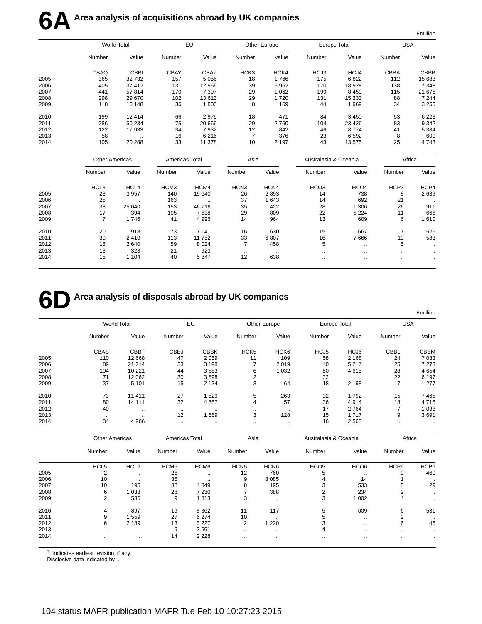|      |                       |                    |                |                      |                  |              |                       |                  |                | <b>£million</b>      |
|------|-----------------------|--------------------|----------------|----------------------|------------------|--------------|-----------------------|------------------|----------------|----------------------|
|      |                       | <b>World Total</b> |                | EU                   |                  | Other Europe | Europe Total          |                  | <b>USA</b>     |                      |
|      | Number                | Value              | Number         | Value                | Number           | Value        | Number                | Value            | Number         | Value                |
|      | CBAQ                  | <b>CBBI</b>        | <b>CBAY</b>    | CBAZ                 | HCK3             | HCK4         | HCJ3                  | HCJ4             | CBBA           | <b>CBBB</b>          |
| 2005 | 365                   | 32732              | 157            | 5 0 5 6              | 18               | 1766         | 175                   | 6822             | 112            | 15 683               |
| 2006 | 405                   | 37 412             | 131            | 12 966               | 39               | 5962         | 170                   | 18 928           | 138            | 7 3 4 8              |
| 2007 | 441                   | 57814              | 170            | 7 3 9 7              | 29               | 1 0 6 2      | 199                   | 8 4 5 9          | 115            | 21 676               |
| 2008 | 298                   | 29 670             | 102            | 13613                | 29               | 1720         | 131                   | 15 3 3 3         | 88             | 7 2 4 4              |
| 2009 | 118                   | 10 148             | 36             | 1800                 | 8                | 169          | 44                    | 1 9 6 9          | 34             | 3 2 5 0              |
| 2010 | 199                   | 12 4 14            | 66             | 2979                 | 18               | 471          | 84                    | 3 4 5 0          | 53             | 6 2 2 3              |
| 2011 | 286                   | 50 234             | 75             | 20 666               | 29               | 2760         | 104                   | 23 4 26          | 83             | 9 3 4 2              |
| 2012 | 122                   | 17 933             | 34             | 7932                 | 12               | 842          | 46                    | 8774             | 41             | 5 3 8 4              |
| 2013 | 58                    | $\ddotsc$          | 16             | 6216                 | $\overline{7}$   | 376          | 23                    | 6592             | 8              | 600                  |
| 2014 | 105                   | 20 288             | 33             | 11 378               | 10               | 2 1 9 7      | 43                    | 13575            | 25             | 4743                 |
|      | <b>Other Americas</b> |                    | Americas Total |                      | Asia             |              | Australasia & Oceania |                  | Africa         |                      |
|      | Number                | Value              | Number         | Value                | Number           | Value        | Number                | Value            | Number         | Value                |
|      | HCL3                  | HCL4               | HCM3           | HCM4                 | HCN <sub>3</sub> | HCN4         | HCO <sub>3</sub>      | HCO <sub>4</sub> | HCP3           | HCP4                 |
| 2005 | 28                    | 3 9 5 7            | 140            | 19 640               | 26               | 2893         | 14                    | 738              | 8              | 2639                 |
| 2006 | 25                    |                    | 163            | $\ddot{\phantom{a}}$ | 37               | 1 6 4 3      | 14                    | 692              | 21             |                      |
| 2007 | 38                    | 25 040             | 153            | 46716                | 35               | 422          | 28                    | 1 3 0 6          | 26             | 911                  |
| 2008 | 17                    | 394                | 105            | 7638                 | 29               | 809          | 22                    | 5 2 2 4          | 11             | 666                  |
| 2009 | $\overline{7}$        | 1746               | 41             | 4 9 9 6              | 14               | 964          | 13                    | 609              | 6              | 1610                 |
| 2010 | 20                    | 918                | 73             | 7 1 4 1              | 16               | 630          | 19                    | 667              | $\overline{7}$ | 526                  |
| 2011 | 30                    | 2410               | 113            | 11752                | 33               | 6807         | 16                    | 7666             | 19             | 583                  |
| 2012 | 18                    | 2640               | 59             | 8 0 2 4              | $\overline{7}$   | 458          | 5                     | ä.               | 5              |                      |
| 2013 | 13                    | 323                | 21             | 923                  | $\cdot$ .        |              | $\ldots$              |                  |                | $\ddot{\phantom{0}}$ |
| 2014 | 15                    | 1 1 0 4            | 40             | 5847                 | 12               | 638          | $\ddot{\phantom{a}}$  | ٠.               |                |                      |
|      |                       |                    |                |                      |                  |              |                       |                  |                |                      |

# **6D** Area analysis of disposals abroad by UK companies

|      |                    |             |             |             |                  |                  |        |              |             | £million      |  |
|------|--------------------|-------------|-------------|-------------|------------------|------------------|--------|--------------|-------------|---------------|--|
|      | <b>World Total</b> |             | EU          |             |                  | Other Europe     |        | Europe Total |             | USA           |  |
|      | Number             | Value       | Number      | Value       | Number           | Value            | Number | Value        | Number      | Value         |  |
|      | <b>CBAS</b>        | <b>CBBT</b> | <b>CBBJ</b> | <b>CBBK</b> | HCK <sub>5</sub> | HCK <sub>6</sub> | HCJ5   | HCJ6         | <b>CBBL</b> | <b>CBBM</b>   |  |
| 2005 | 110                | 12 668      | 47          | 2059        | 11               | 109              | 58     | 2 1 6 8      | 24          | 7033          |  |
| 2006 | 89                 | 21 214      | 33          | 3 1 9 8     | 7                | 2019             | 40     | 5 2 1 7      | 25          | 7 2 7 3       |  |
| 2007 | 104                | 10 2 21     | 44          | 3583        | 6                | 1 0 3 2          | 50     | 4615         | 28          | 4654          |  |
| 2008 | 71                 | 12 062      | 30          | 3598        | 2                | $\sim$ $\sim$    | 32     | $\cdot$ .    | 22          | 6 1 9 7       |  |
| 2009 | 37                 | 5 1 0 1     | 15          | 2 1 3 4     | 3                | 64               | 18     | 2 1 9 8      | ⇁           | 1 277         |  |
| 2010 | 73                 | 11 411      | 27          | 1529        | 5                | 263              | 32     | 1792         | 15          | 7465          |  |
| 2011 | 80                 | 14 111      | 32          | 4857        | 4                | 57               | 36     | 4914         | 18          | 4715          |  |
| 2012 | 40                 | $\cdots$    | $\cdot$ .   | $\cdots$    |                  | $\cdot$ .        | 17     | 2764         |             | 1 0 3 8       |  |
| 2013 | $\cdot$ .          | $\cdots$    | 12          | 589         | 3                | 128              | 15     | 1717         | 9           | 3691          |  |
| 2014 | 34                 | 4 9 6 6     |             | $\cdots$    |                  | $\cdot$ .        | 16     | 2 5 6 5      |             | $\sim$ $\sim$ |  |

|      |                  | <b>Other Americas</b> |                  | Americas Total   |                  | Asia             |                  | Australasia & Oceania | Africa           |               |
|------|------------------|-----------------------|------------------|------------------|------------------|------------------|------------------|-----------------------|------------------|---------------|
|      | Number           | Value                 | Number           | Value            | Number           | Value            | Number           | Value                 | Number           | Value         |
|      | HCL <sub>5</sub> | HCL6                  | HCM <sub>5</sub> | HCM <sub>6</sub> | HCN <sub>5</sub> | HCN <sub>6</sub> | HCO <sub>5</sub> | HCO <sub>6</sub>      | HCP <sub>5</sub> | HCP6          |
| 2005 | $\Omega$         | $\ddotsc$             | 26               |                  | 12               | 760              | 5                | $\cdot$ .             | 9                | 460           |
| 2006 | 10               | $\cdot$ .             | 35               | $\cdot$ .        | 9                | 8 0 8 5          |                  | 14                    |                  | $\cdots$      |
| 2007 | 10               | 195                   | 38               | 4849             | 8                | 195              |                  | 533                   | b                | 29            |
| 2008 | 6                | 1 0 3 3               | 28               | 7 2 3 0          |                  | 388              |                  | 234                   | ◠                | $\cdots$      |
| 2009 | 2                | 536                   | 9                | 1813             | 3                | $\sim$ $\sim$    | 3                | 1 0 0 2               | 4                | $\sim$ $\sim$ |
| 2010 | 4                | 897                   | 19               | 8 3 6 2          | 11               | 117              | 5                | 609                   | 6                | 531           |
| 2011 | 9                | 559                   | 27               | 6 2 7 4          | 10               | $\cdot$ .        |                  | $\sim$ $\sim$         | 2                | $\cdot$ .     |
| 2012 | 6                | 2 1 8 9               | 13               | 3 2 2 7          | 2                | 220              |                  | $\cdots$              | 6                | 46            |
| 2013 |                  | -                     | 9                | 3691             | $\ddotsc$        | $\sim$ $\sim$    | 4                | $\sim$ $\sim$         | $\ddotsc$        | $\cdots$      |
| 2014 | $\cdots$         |                       | 14               | 2 2 2 8          | $\cdot$ .        | $\cdots$         | $\cdot$ .        | $\cdots$              | $\cdot$ .        | $\cdots$      |

 $<sup>†</sup>$  Indicates earliest revision, if any.</sup>

Disclosive data indicated by ...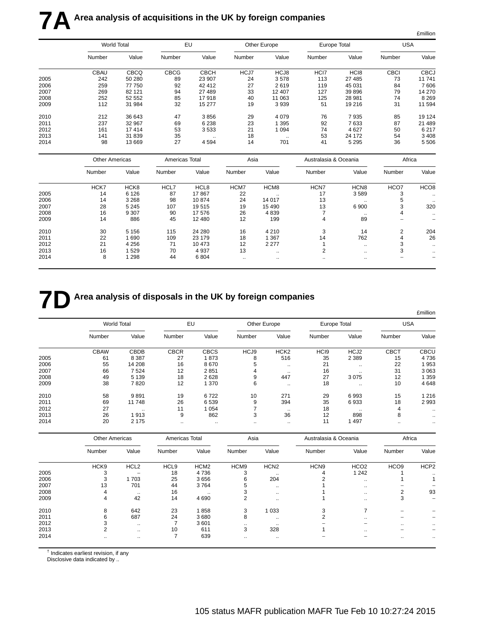|      |                       |             |                |             |           |              |                       |                      |             | £million             |
|------|-----------------------|-------------|----------------|-------------|-----------|--------------|-----------------------|----------------------|-------------|----------------------|
|      |                       | World Total |                | EU          |           | Other Europe | Europe Total          |                      | <b>USA</b>  |                      |
|      | Number                | Value       | Number         | Value       | Number    | Value        | Number                | Value                | Number      | Value                |
|      | <b>CBAU</b>           | CBCQ        | <b>CBCG</b>    | <b>CBCH</b> | HCJ7      | HCJ8         | HCI7                  | HC <sub>18</sub>     | <b>CBCI</b> | <b>CBCJ</b>          |
| 2005 | 242                   | 50 280      | 89             | 23 907      | 24        | 3578         | 113                   | 27 485               | 73          | 11 741               |
| 2006 | 259                   | 77 750      | 92             | 42 412      | 27        | 2619         | 119                   | 45 031               | 84          | 7606                 |
| 2007 | 269                   | 82 121      | 94             | 27 489      | 33        | 12 407       | 127                   | 39 896               | 79          | 14 270               |
| 2008 | 252                   | 52 552      | 85             | 17918       | 40        | 11 063       | 125                   | 28 981               | 74          | 8 2 6 9              |
| 2009 | 112                   | 31 984      | 32             | 15 277      | 19        | 3939         | 51                    | 19 216               | 31          | 11 594               |
| 2010 | 212                   | 36 643      | 47             | 3856        | 29        | 4079         | 76                    | 7935                 | 85          | 19 124               |
| 2011 | 237                   | 32 967      | 69             | 6 2 3 8     | 23        | 1 3 9 5      | 92                    | 7633                 | 87          | 21 489               |
| 2012 | 161                   | 17414       | 53             | 3533        | 21        | 1 0 9 4      | 74                    | 4 6 27               | 50          | 6 217                |
| 2013 | 141                   | 31 839      | 35             |             | 18        | $\ddotsc$    | 53                    | 24 172               | 54          | 3 4 0 8              |
| 2014 | 98                    | 13 6 69     | 27             | 4594        | 14        | 701          | 41                    | 5 2 9 5              | 36          | 5 5 0 6              |
|      | <b>Other Americas</b> |             | Americas Total |             | Asia      |              | Australasia & Oceania |                      | Africa      |                      |
|      | Number                | Value       | Number         | Value       | Number    | Value        | Number                | Value                | Number      | Value                |
|      | HCK7                  | HCK8        | HCL7           | HCL8        | HCM7      | HCM8         | HCN7                  | HCN <sub>8</sub>     | HCO7        | HCO <sub>8</sub>     |
| 2005 | 14                    | 6 1 2 6     | 87             | 17867       | 22        |              | 17                    | 3589                 | 3           |                      |
| 2006 | 14                    | 3 2 6 8     | 98             | 10874       | 24        | 14 017       | 13                    |                      | 5           |                      |
| 2007 | 28                    | 5 2 4 5     | 107            | 19515       | 19        | 15 4 90      | 13                    | 6 900                | 3           | 320                  |
| 2008 | 16                    | 9 3 0 7     | 90             | 17 576      | 26        | 4839         | $\overline{7}$        |                      | 4           | $\ddot{\phantom{0}}$ |
| 2009 | 14                    | 886         | 45             | 12 480      | 12        | 199          | 4                     | 89                   |             |                      |
| 2010 | 30                    | 5 1 5 6     | 115            | 24 280      | 16        | 4 2 1 0      | 3                     | 14                   | 2           | 204                  |
| 2011 | 22                    | 1690        | 109            | 23 179      | 18        | 1 3 6 7      | 14                    | 762                  | 4           | 26                   |
| 2012 | 21                    | 4 2 5 6     | 71             | 10 473      | 12        | 2 2 7 7      | $\mathbf{1}$          | $\ddotsc$            | 3           |                      |
| 2013 | 16                    | 1529        | 70             | 4 9 3 7     | 13        | $\ddotsc$    | $\overline{2}$        | $\ddotsc$            | 3           |                      |
| 2014 | 8                     | 1 2 9 8     | 44             | 6 8 0 4     | $\ddotsc$ |              | $\ddot{\phantom{a}}$  | $\ddot{\phantom{a}}$ |             |                      |
|      |                       |             |                |             |           |              |                       |                      |             |                      |

# **7D** Area analysis of disposals in the UK by foreign companies

|      |                    |             |             |             |           |                      |                  |                  |             | £million      |
|------|--------------------|-------------|-------------|-------------|-----------|----------------------|------------------|------------------|-------------|---------------|
|      | <b>World Total</b> |             |             | EU          |           | Other Europe         | Europe Total     |                  | <b>USA</b>  |               |
|      | Number             | Value       | Number      | Value       | Number    | Value                | Number           | Value            | Number      | Value         |
|      | <b>CBAW</b>        | <b>CBDB</b> | <b>CBCR</b> | <b>CBCS</b> | HCJ9      | HCK <sub>2</sub>     | HC <sub>I9</sub> | HCJ <sub>2</sub> | <b>CBCT</b> | <b>CBCU</b>   |
| 2005 | 61                 | 8 3 8 7     | 27          | 1873        | 8         | 516                  | 35               | 2 3 8 9          | 15          | 4736          |
| 2006 | 55                 | 14 208      | 16          | 8670        | 5         | $\ddot{\phantom{a}}$ | 21               | $\cdot$ .        | 22          | 953           |
| 2007 | 66                 | 7524        | 12          | 2851        | 4         |                      | 16               | $\sim$           | 31          | 3 0 6 3       |
| 2008 | 49                 | 5 1 3 9     | 18          | 2628        | 9         | 447                  | 27               | 3075             | 12          | 359           |
| 2009 | 38                 | 7820        | 12          | 1 370       | 6         |                      | 18               | $\sim$           | 10          | 4648          |
| 2010 | 58                 | 9891        | 19          | 6722        | 10        | 271                  | 29               | 6993             | 15          | 1 2 1 6       |
| 2011 | 69                 | 11748       | 26          | 6539        | 9         | 394                  | 35               | 6933             | 18          | 2993          |
| 2012 | 27                 | $\cdots$    | 11          | 1 0 5 4     |           | $\cdots$             | 18               | $\sim$           | 4           | $\cdot$ .     |
| 2013 | 26                 | 1913        | 9           | 862         | 3         | 36                   | 12               | 898              | 8           | $\sim$ $\sim$ |
| 2014 | 20                 | 2 1 7 5     |             | $\cdots$    | $\cdot$ . | $\cdot$ .            | 11               | 497              | $\cdot$ .   | $\cdot$ .     |

|      | <b>Other Americas</b> |                  | Americas Total   |                  |           | Asia             |                  | Australasia & Oceania |                  | Africa           |  |
|------|-----------------------|------------------|------------------|------------------|-----------|------------------|------------------|-----------------------|------------------|------------------|--|
|      | Number                | Value            | Number           | Value            | Number    | Value            | Number           | Value                 | Number           | Value            |  |
|      | HCK9                  | HCL <sub>2</sub> | HCL <sub>9</sub> | HCM <sub>2</sub> | HCM9      | HCN <sub>2</sub> | HCN <sub>9</sub> | HCO <sub>2</sub>      | HCO <sub>9</sub> | HCP <sub>2</sub> |  |
| 2005 | 3                     |                  | 18               | 4736             | 3         | $\cdots$         | 4                | 1 2 4 2               |                  | $\cdot$ .        |  |
| 2006 | 3                     | 1703             | 25               | 3656             | 6         | 204              |                  | $\sim$ $\sim$         |                  |                  |  |
| 2007 | 13                    | 701              | 44               | 3764             |           | $\cdots$         |                  | $\sim$ $\sim$         |                  |                  |  |
| 2008 | 4                     | $\cdot$ .        | 16               | $\cdot$ .        | 5         | $\cdots$         |                  | $\cdots$              | 2                | 93               |  |
| 2009 | 4                     | 42               | 14               | 4690             | 2         | $\sim$ $\sim$    |                  | $\sim$ $\sim$         | 3                |                  |  |
| 2010 | 8                     | 642              | 23               | 858              | 3         | 1 0 3 3          | 3                |                       |                  |                  |  |
| 2011 | 6                     | 687              | 24               | 3680             | 8         | $\sim$ $\sim$    |                  | $\ddotsc$             |                  |                  |  |
| 2012 |                       |                  |                  | 3601             | $\cdot$ . | $\cdot$ .        |                  |                       | $\cdot$ .        | $\cdots$         |  |
| 2013 | $\overline{2}$        | $\ddotsc$        | 10               | 611              | 3         | 328              |                  | $\sim$ $\sim$         |                  |                  |  |
| 2014 | $\cdots$              |                  |                  | 639              | $\cdot$ . | $\cdots$         |                  |                       | $\cdot$ .        | $\cdots$         |  |

† Indicates earliest revision, if any

Disclosive data indicated by ..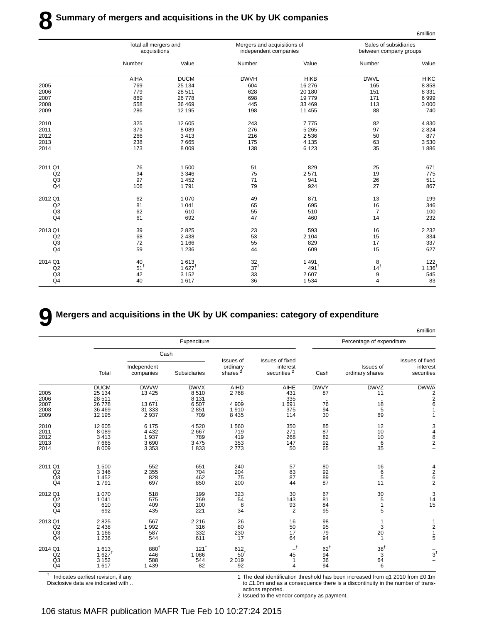|                | Total all mergers and<br>acquisitions |                  | Mergers and acquisitions of<br>independent companies |                    | Sales of subsidiaries<br>between company groups |             |
|----------------|---------------------------------------|------------------|------------------------------------------------------|--------------------|-------------------------------------------------|-------------|
|                | Number                                | Value            | Number                                               | Value              | Number                                          | Value       |
|                | AIHA                                  | <b>DUCM</b>      | <b>DWVH</b>                                          | <b>HIKB</b>        | <b>DWVL</b>                                     | <b>HIKC</b> |
| 2005           | 769                                   | 25 134           | 604                                                  | 16 276             | 165                                             | 8858        |
| 2006           | 779                                   | 28 511           | 628                                                  | 20 180             | 151                                             | 8 3 3 1     |
| 2007           | 869                                   | 26 778           | 698                                                  | 19779              | 171                                             | 6999        |
| 2008           | 558                                   | 36 469           | 445                                                  | 33 469             | 113                                             | 3 0 0 0     |
| 2009           | 286                                   | 12 195           | 198                                                  | 11 455             | 88                                              | 740         |
| 2010           | 325                                   | 12 605           | 243                                                  | 7775               | 82                                              | 4 8 3 0     |
| 2011           | 373                                   | 8089             | 276                                                  | 5 2 6 5            | 97                                              | 2 8 2 4     |
| 2012           | 266                                   | 3413             | 216                                                  | 2 5 3 6            | 50                                              | 877         |
| 2013           | 238                                   | 7665             | 175                                                  | 4 1 3 5            | 63                                              | 3530        |
| 2014           | 173                                   | 8 0 0 9          | 138                                                  | 6 1 2 3            | 35                                              | 1886        |
| 2011 Q1        | 76                                    | 1500             | 51                                                   | 829                | 25                                              | 671         |
| Q2             | 94                                    | 3 3 4 6          | 75                                                   | 2571               | 19                                              | 775         |
| Q <sub>3</sub> | 97                                    | 1 4 5 2          | 71                                                   | 941                | 26                                              | 511         |
| Q <sub>4</sub> | 106                                   | 1791             | 79                                                   | 924                | 27                                              | 867         |
| 2012 Q1        | 62                                    | 1070             | 49                                                   | 871                | 13                                              | 199         |
| Q2             | 81                                    | 1 0 4 1          | 65                                                   | 695                | 16                                              | 346         |
| Q <sub>3</sub> | 62                                    | 610              | 55                                                   | 510                | $\overline{7}$                                  | 100         |
| Q <sub>4</sub> | 61                                    | 692              | 47                                                   | 460                | 14                                              | 232         |
| 2013 Q1        | 39                                    | 2825             | 23                                                   | 593                | 16                                              | 2 2 3 2     |
| Q2             | 68                                    | 2438             | 53                                                   | 2 1 0 4            | 15                                              | 334         |
| Q <sub>3</sub> | 72                                    | 1 1 6 6          | 55                                                   | 829                | 17                                              | 337         |
| Q <sub>4</sub> | 59                                    | 1 2 3 6          | 44                                                   | 609                | 15                                              | 627         |
| 2014 Q1        | 40                                    | 1613             | 32                                                   | 1491               | 8                                               | 122         |
| Q2             | $51$ <sup>t</sup>                     | $1627^{\dagger}$ | 37 <sup>†</sup>                                      | $491$ <sup>t</sup> | $14^{\dagger}$                                  | 1 1 36      |
| Q <sub>3</sub> | 42                                    | 3 1 5 2          | 33                                                   | 2607               | 9                                               | 545         |
| Q <sub>4</sub> | 40                                    | 1617             | 36                                                   | 1 5 3 4            | $\overline{4}$                                  | 83          |

# **9 Mergers and acquisitions in the UK by UK companies: category of expenditure**

|                                                   |                                                           |                                                          |                                                |                                                 |                                                        |                                         |                                                                          | <b>£million</b>                                                                             |
|---------------------------------------------------|-----------------------------------------------------------|----------------------------------------------------------|------------------------------------------------|-------------------------------------------------|--------------------------------------------------------|-----------------------------------------|--------------------------------------------------------------------------|---------------------------------------------------------------------------------------------|
|                                                   |                                                           |                                                          | Expenditure                                    |                                                 |                                                        |                                         | Percentage of expenditure                                                |                                                                                             |
|                                                   |                                                           |                                                          | Cash                                           |                                                 |                                                        |                                         |                                                                          |                                                                                             |
|                                                   | Total                                                     | Independent<br>companies                                 | Subsidiaries                                   | Issues of<br>ordinary<br>shares <sup>2</sup>    | Issues of fixed<br>interest<br>securities <sup>2</sup> | Cash                                    | Issues of<br>ordinary shares                                             | Issues of fixed<br>interest<br>securities                                                   |
| 2005<br>2006<br>2007<br>2008                      | <b>DUCM</b><br>25 134<br>28 511<br>26 778<br>36 469       | <b>DWVW</b><br>13 4 25<br>13 671<br>31 333               | <b>DWVX</b><br>8510<br>8 1 3 1<br>6507<br>2851 | AIHD<br>2768<br>4 9 0 9<br>1910                 | AIHE<br>431<br>335<br>1 691<br>375                     | <b>DWVY</b><br>87<br>$\sim$<br>76<br>94 | <b>DWVZ</b><br>11<br>$\cdot$ .<br>$\begin{array}{c} 18 \\ 5 \end{array}$ | <b>DWWA</b><br>$\begin{array}{c} 2 \\ 2 \\ 6 \end{array}$<br>$\overline{1}$                 |
| 2009<br>2010<br>2011<br>2012<br>2013<br>2014      | 12 195<br>12 605<br>8 0 8 9<br>3 4 1 3<br>7665<br>8 0 0 9 | 2 9 3 7<br>6 1 7 5<br>4 4 3 2<br>1937<br>3690<br>3 3 5 3 | 709<br>4520<br>2667<br>789<br>3 4 7 5<br>1833  | 8 4 3 5<br>1 5 6 0<br>719<br>419<br>353<br>2773 | 114<br>350<br>271<br>268<br>147<br>50                  | 30<br>85<br>87<br>$\frac{82}{92}$<br>65 | 69<br>12<br>10<br>10<br>6<br>35                                          | $\mathbf{1}$<br>$\begin{array}{c} 3 \\ 4 \\ 8 \\ 2 \end{array}$<br>$\overline{\phantom{0}}$ |
| 2011 Q1<br>Q2<br>Q <sub>3</sub><br>Q <sub>4</sub> | 1 500<br>3 3 4 6<br>1 4 5 2<br>1791                       | 552<br>2 3 5 5<br>828<br>697                             | 651<br>704<br>462<br>850                       | 240<br>204<br>75<br>200                         | 57<br>83<br>87<br>44                                   | 80<br>92<br>89<br>87                    | 16<br>6<br>5<br>11                                                       | $\frac{4}{2}$ 6 2                                                                           |
| 2012 Q1<br>Q2<br>Q3<br>Q <sub>4</sub>             | 1 0 7 0<br>1 0 4 1<br>610<br>692                          | 518<br>575<br>409<br>435                                 | 199<br>269<br>100<br>221                       | 323<br>54<br>8<br>34                            | 30<br>143<br>$\frac{93}{2}$                            | 67<br>81<br>84<br>95                    | 30<br>5<br>$\mathbf{1}$<br>5                                             | $\begin{array}{c} 3 \\ 14 \end{array}$<br>$\overline{15}$<br>$\overline{a}$                 |
| 2013 Q1<br>Q2<br>Q <sub>3</sub><br>Q <sub>4</sub> | 2825<br>2 4 3 8<br>1 1 6 6<br>1 2 3 6                     | 567<br>1 9 9 2<br>587<br>544                             | 2 2 1 6<br>316<br>332<br>611                   | 26<br>80<br>230<br>17                           | 16<br>50<br>17<br>64                                   | 98<br>95<br>79<br>94                    | 1<br>3<br>20<br>1                                                        | 1<br>$\frac{2}{1}$<br>5                                                                     |
| 2014 Q1<br>Q2<br>Q <sub>3</sub><br>Q <sub>4</sub> | 1613<br>$1.627$ <sup>†</sup><br>3 1 5 2<br>1617           | 880 <sup>†</sup><br>446<br>588<br>1 4 3 9                | 121 <sup>†</sup><br>1 0 8 6<br>544<br>82       | 612<br>$50^{\dagger}$<br>2019<br>92             | $-$ t<br>45<br>1<br>4                                  | $62^{\dagger}$<br>94<br>36<br>94        | $38^{\dagger}$<br>3<br>64<br>6                                           | $\frac{1}{3}$                                                                               |

† Indicates earliest revision, if any Disclosive data are indicated with .. 1 The deal identification threshold has been increased from q1 2010 from £0.1m to £1.0m and as a consequence there is a discontinuity in the number of transactions reported.

2 Issued to the vendor company as payment.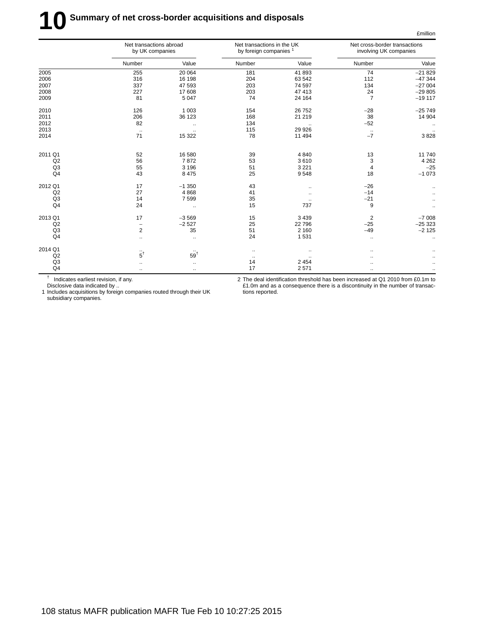# **10** Summary of net cross-border acquisitions and disposals

|                | Net transactions abroad<br>by UK companies |                 | Net transactions in the UK<br>by foreign companies <sup>1</sup> |           | Net cross-border transactions<br>involving UK companies |           |
|----------------|--------------------------------------------|-----------------|-----------------------------------------------------------------|-----------|---------------------------------------------------------|-----------|
|                | Number                                     | Value           | Number                                                          | Value     | Number                                                  | Value     |
| 2005           | 255                                        | 20 064          | 181                                                             | 41 893    | 74                                                      | $-21829$  |
| 2006           | 316                                        | 16 198          | 204                                                             | 63 542    | 112                                                     | $-47344$  |
| 2007           | 337                                        | 47 593          | 203                                                             | 74 597    | 134                                                     | $-27004$  |
| 2008           | 227                                        | 17 608          | 203                                                             | 47 413    | 24                                                      | $-29805$  |
| 2009           | 81                                         | 5 0 4 7         | 74                                                              | 24 164    | $\overline{7}$                                          | $-19117$  |
| 2010           | 126                                        | 1 0 0 3         | 154                                                             | 26 752    | $-28$                                                   | $-25749$  |
| 2011           | 206                                        | 36 123          | 168                                                             | 21 219    | 38                                                      | 14 904    |
| 2012           | 82                                         | $\ddotsc$       | 134                                                             | $\cdot$ . | $-52$                                                   | $\ddotsc$ |
| 2013           | $\cdot$                                    | $\ldots$        | 115                                                             | 29 9 26   | $\cdot\cdot$                                            |           |
| 2014           | 71                                         | 15 322          | 78                                                              | 11 494    | $-7$                                                    | 3828      |
| 2011 Q1        | 52                                         | 16 580          | 39                                                              | 4 8 4 0   | 13                                                      | 11740     |
| Q2             | 56                                         | 7872            | 53                                                              | 3610      | 3                                                       | 4 2 6 2   |
| Q <sub>3</sub> | 55                                         | 3 1 9 6         | 51                                                              | 3 2 2 1   | $\overline{4}$                                          | $-25$     |
| Q <sub>4</sub> | 43                                         | 8 4 7 5         | 25                                                              | 9548      | 18                                                      | $-1073$   |
| 2012 Q1        | 17                                         | $-1350$         | 43                                                              | $\ddotsc$ | $-26$                                                   |           |
| Q2             | 27                                         | 4868            | 41                                                              | $\ddotsc$ | $-14$                                                   |           |
| Q <sub>3</sub> | 14                                         | 7599            | 35                                                              |           | $-21$                                                   |           |
| Q <sub>4</sub> | 24                                         | $\ddotsc$       | 15                                                              | 737       | 9                                                       |           |
| 2013 Q1        | 17                                         | $-3569$         | 15                                                              | 3 4 3 9   | $\overline{2}$                                          | $-7008$   |
| Q2             | $\overline{a}$                             | $-2527$         | 25                                                              | 22 796    | $-25$                                                   | $-25323$  |
| Q <sub>3</sub> | 2                                          | 35              | 51                                                              | 2 1 6 0   | $-49$                                                   | $-2125$   |
| Q4             | $\ddotsc$                                  | $\ldots$        | 24                                                              | 1531      | $\ddot{\phantom{0}}$                                    | $\ddotsc$ |
| 2014 Q1        |                                            |                 | $\cdot\cdot$                                                    | $\cdot$ . | $\cdot$ .                                               |           |
| Q2             | $\dddot{5}^{\dagger}$                      | 59 <sup>†</sup> | $\ldots$                                                        |           | $\ddot{\phantom{a}}$                                    |           |
| Q <sub>3</sub> | $\ddotsc$                                  | $\ddotsc$       | 14                                                              | 2 4 5 4   | $\cdot$ .                                               |           |
| Q4             |                                            | $\ddotsc$       | 17                                                              | 2 5 7 1   | $\ddotsc$                                               |           |

† Indicates earliest revision, if any.

2 The deal identification threshold has been increased at Q1 2010 from £0.1m to £1.0m and as a consequence there is a discontinuity in the number of transactions reported.

£million

Disclosive data indicated by .. 1 Includes acquisitions by foreign companies routed through their UK subsidiary companies.